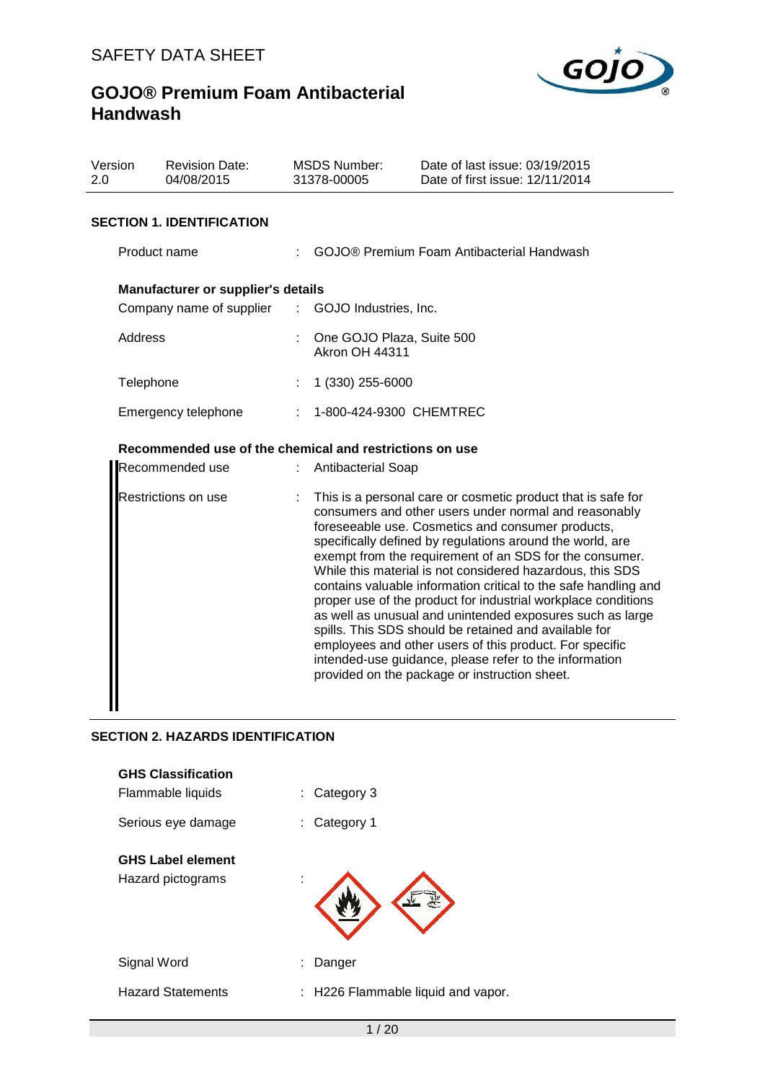

| Version<br>2.0 | <b>Revision Date:</b><br>04/08/2015                                                           | <b>MSDS Number:</b><br>31378-00005                 | Date of last issue: 03/19/2015<br>Date of first issue: 12/11/2014                                                                                                                                                                                                                                                                                                                                                                                                                                                                                                                                                                                                                                                                              |
|----------------|-----------------------------------------------------------------------------------------------|----------------------------------------------------|------------------------------------------------------------------------------------------------------------------------------------------------------------------------------------------------------------------------------------------------------------------------------------------------------------------------------------------------------------------------------------------------------------------------------------------------------------------------------------------------------------------------------------------------------------------------------------------------------------------------------------------------------------------------------------------------------------------------------------------------|
|                | <b>SECTION 1. IDENTIFICATION</b>                                                              |                                                    |                                                                                                                                                                                                                                                                                                                                                                                                                                                                                                                                                                                                                                                                                                                                                |
|                | Product name                                                                                  |                                                    | GOJO® Premium Foam Antibacterial Handwash                                                                                                                                                                                                                                                                                                                                                                                                                                                                                                                                                                                                                                                                                                      |
|                | <b>Manufacturer or supplier's details</b><br>Company name of supplier : GOJO Industries, Inc. |                                                    |                                                                                                                                                                                                                                                                                                                                                                                                                                                                                                                                                                                                                                                                                                                                                |
|                | Address                                                                                       | One GOJO Plaza, Suite 500<br><b>Akron OH 44311</b> |                                                                                                                                                                                                                                                                                                                                                                                                                                                                                                                                                                                                                                                                                                                                                |
|                | Telephone                                                                                     | 1 (330) 255-6000                                   |                                                                                                                                                                                                                                                                                                                                                                                                                                                                                                                                                                                                                                                                                                                                                |
|                | Emergency telephone                                                                           | 1-800-424-9300 CHEMTREC                            |                                                                                                                                                                                                                                                                                                                                                                                                                                                                                                                                                                                                                                                                                                                                                |
|                | Recommended use of the chemical and restrictions on use                                       |                                                    |                                                                                                                                                                                                                                                                                                                                                                                                                                                                                                                                                                                                                                                                                                                                                |
|                | Recommended use                                                                               | <b>Antibacterial Soap</b>                          |                                                                                                                                                                                                                                                                                                                                                                                                                                                                                                                                                                                                                                                                                                                                                |
|                | Restrictions on use                                                                           |                                                    | This is a personal care or cosmetic product that is safe for<br>consumers and other users under normal and reasonably<br>foreseeable use. Cosmetics and consumer products,<br>specifically defined by regulations around the world, are<br>exempt from the requirement of an SDS for the consumer.<br>While this material is not considered hazardous, this SDS<br>contains valuable information critical to the safe handling and<br>proper use of the product for industrial workplace conditions<br>as well as unusual and unintended exposures such as large<br>spills. This SDS should be retained and available for<br>employees and other users of this product. For specific<br>intended-use guidance, please refer to the information |

provided on the package or instruction sheet.

### **SECTION 2. HAZARDS IDENTIFICATION**

| <b>GHS Classification</b> |                                    |
|---------------------------|------------------------------------|
| Flammable liquids         | Category 3<br>t.                   |
| Serious eye damage        | Category 1<br>t.                   |
| <b>GHS Label element</b>  |                                    |
| Hazard pictograms         | :                                  |
| Signal Word               | Danger                             |
| <b>Hazard Statements</b>  | : H226 Flammable liquid and vapor. |
|                           |                                    |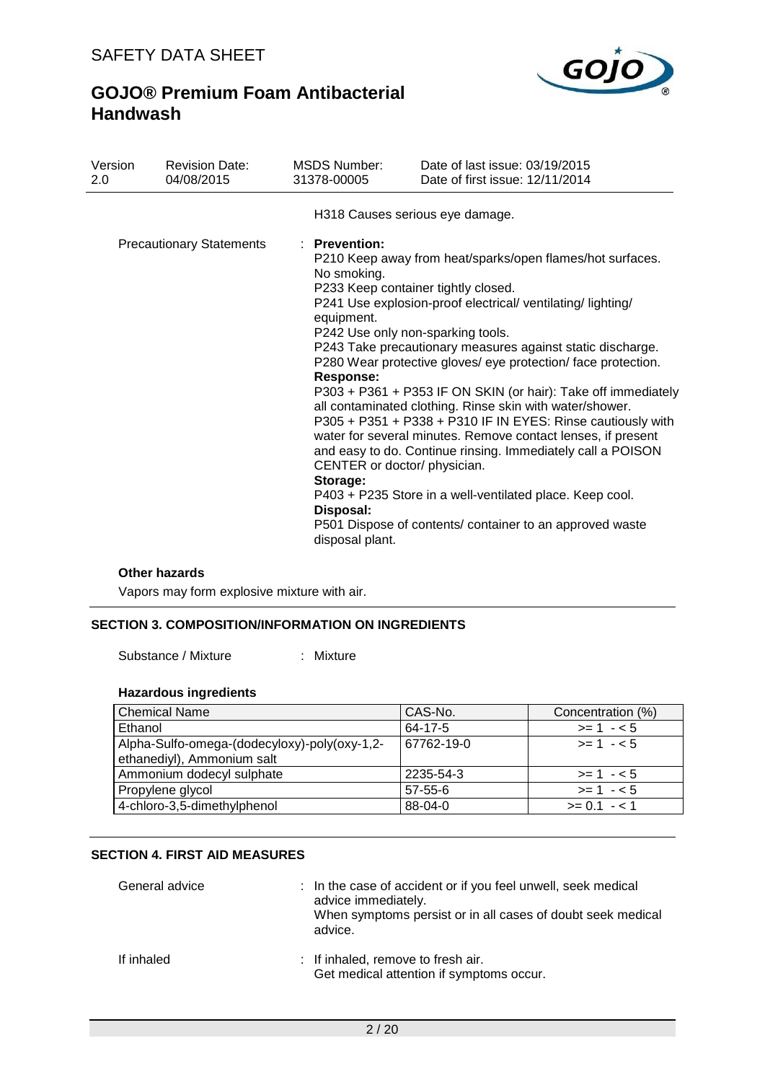

| Version<br>2.0 | <b>Revision Date:</b><br>04/08/2015 | MSDS Number:<br>31378-00005                                                                                                                | Date of last issue: 03/19/2015<br>Date of first issue: 12/11/2014                                                                                                                                                                                                                                                                                                                                                                                                                                                                                                                                                                                                                                                                                                                    |
|----------------|-------------------------------------|--------------------------------------------------------------------------------------------------------------------------------------------|--------------------------------------------------------------------------------------------------------------------------------------------------------------------------------------------------------------------------------------------------------------------------------------------------------------------------------------------------------------------------------------------------------------------------------------------------------------------------------------------------------------------------------------------------------------------------------------------------------------------------------------------------------------------------------------------------------------------------------------------------------------------------------------|
|                |                                     |                                                                                                                                            | H318 Causes serious eye damage.                                                                                                                                                                                                                                                                                                                                                                                                                                                                                                                                                                                                                                                                                                                                                      |
|                | <b>Precautionary Statements</b>     | : Prevention:<br>No smoking.<br>equipment.<br><b>Response:</b><br>CENTER or doctor/ physician.<br>Storage:<br>Disposal:<br>disposal plant. | P210 Keep away from heat/sparks/open flames/hot surfaces.<br>P233 Keep container tightly closed.<br>P241 Use explosion-proof electrical/ventilating/lighting/<br>P242 Use only non-sparking tools.<br>P243 Take precautionary measures against static discharge.<br>P280 Wear protective gloves/ eye protection/ face protection.<br>P303 + P361 + P353 IF ON SKIN (or hair): Take off immediately<br>all contaminated clothing. Rinse skin with water/shower.<br>P305 + P351 + P338 + P310 IF IN EYES: Rinse cautiously with<br>water for several minutes. Remove contact lenses, if present<br>and easy to do. Continue rinsing. Immediately call a POISON<br>P403 + P235 Store in a well-ventilated place. Keep cool.<br>P501 Dispose of contents/ container to an approved waste |

### **Other hazards**

Vapors may form explosive mixture with air.

### **SECTION 3. COMPOSITION/INFORMATION ON INGREDIENTS**

Substance / Mixture : Mixture

### **Hazardous ingredients**

| l Chemical Name                                                            | CAS-No.       | Concentration (%) |
|----------------------------------------------------------------------------|---------------|-------------------|
| Ethanol                                                                    | 64-17-5       | $>= 1 - 5$        |
| Alpha-Sulfo-omega-(dodecyloxy)-poly(oxy-1,2-<br>ethanediyl), Ammonium salt | 67762-19-0    | $>= 1 - 5$        |
| Ammonium dodecyl sulphate                                                  | 2235-54-3     | $>= 1 - 5$        |
| Propylene glycol                                                           | $57 - 55 - 6$ | $>= 1 - 5$        |
| 4-chloro-3,5-dimethylphenol                                                | 88-04-0       | $>= 0.1 - 1.1$    |

### **SECTION 4. FIRST AID MEASURES**

| General advice | : In the case of accident or if you feel unwell, seek medical<br>advice immediately.<br>When symptoms persist or in all cases of doubt seek medical<br>advice. |
|----------------|----------------------------------------------------------------------------------------------------------------------------------------------------------------|
| If inhaled     | : If inhaled, remove to fresh air.<br>Get medical attention if symptoms occur.                                                                                 |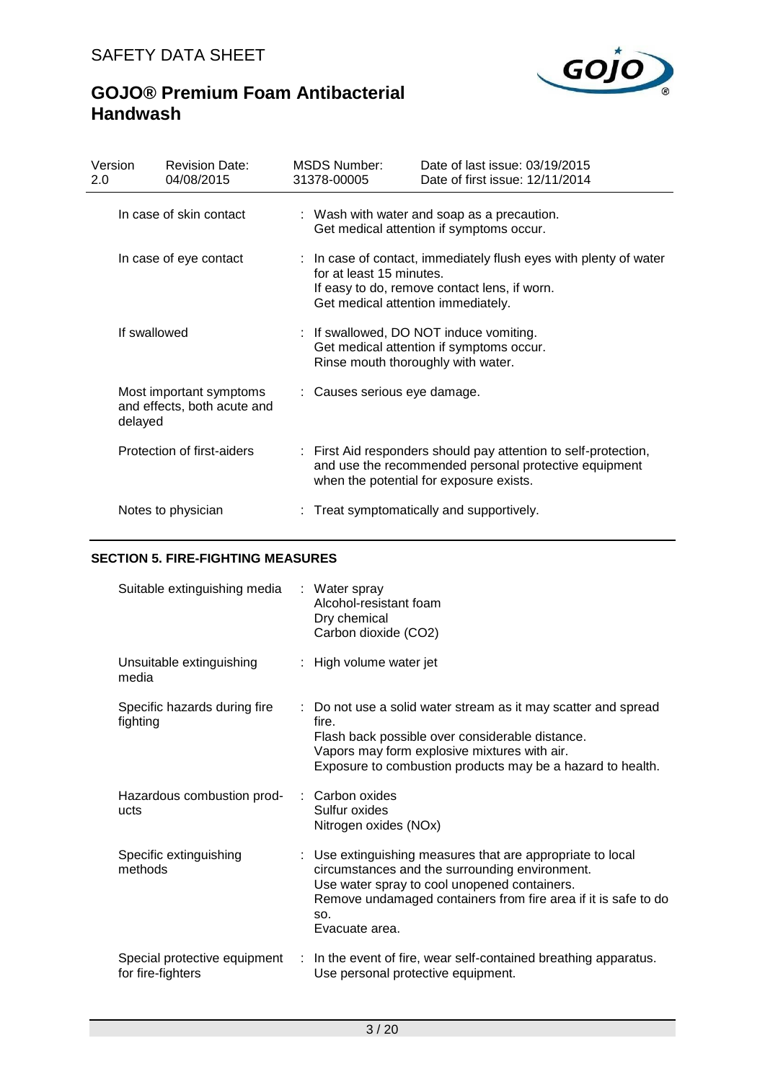

| Version<br><b>Revision Date:</b><br>04/08/2015<br>2.0             | MSDS Number:<br>31378-00005  | Date of last issue: 03/19/2015<br>Date of first issue: 12/11/2014                                                                                                   |  |
|-------------------------------------------------------------------|------------------------------|---------------------------------------------------------------------------------------------------------------------------------------------------------------------|--|
| In case of skin contact                                           |                              | : Wash with water and soap as a precaution.<br>Get medical attention if symptoms occur.                                                                             |  |
| In case of eye contact                                            | for at least 15 minutes.     | : In case of contact, immediately flush eyes with plenty of water<br>If easy to do, remove contact lens, if worn.<br>Get medical attention immediately.             |  |
| If swallowed                                                      |                              | : If swallowed, DO NOT induce vomiting.<br>Get medical attention if symptoms occur.<br>Rinse mouth thoroughly with water.                                           |  |
| Most important symptoms<br>and effects, both acute and<br>delayed | : Causes serious eye damage. |                                                                                                                                                                     |  |
| Protection of first-aiders                                        |                              | : First Aid responders should pay attention to self-protection,<br>and use the recommended personal protective equipment<br>when the potential for exposure exists. |  |
| Notes to physician                                                |                              | : Treat symptomatically and supportively.                                                                                                                           |  |

### **SECTION 5. FIRE-FIGHTING MEASURES**

| Suitable extinguishing media                      | : Water spray<br>Alcohol-resistant foam<br>Dry chemical<br>Carbon dioxide (CO2)                                                                                                                                                                         |
|---------------------------------------------------|---------------------------------------------------------------------------------------------------------------------------------------------------------------------------------------------------------------------------------------------------------|
| Unsuitable extinguishing<br>media                 | : High volume water jet                                                                                                                                                                                                                                 |
| Specific hazards during fire<br>fighting          | : Do not use a solid water stream as it may scatter and spread<br>fire.<br>Flash back possible over considerable distance.<br>Vapors may form explosive mixtures with air.<br>Exposure to combustion products may be a hazard to health.                |
| Hazardous combustion prod-<br>ucts                | : Carbon oxides<br>Sulfur oxides<br>Nitrogen oxides (NOx)                                                                                                                                                                                               |
| Specific extinguishing<br>methods                 | : Use extinguishing measures that are appropriate to local<br>circumstances and the surrounding environment.<br>Use water spray to cool unopened containers.<br>Remove undamaged containers from fire area if it is safe to do<br>SO.<br>Evacuate area. |
| Special protective equipment<br>for fire-fighters | In the event of fire, wear self-contained breathing apparatus.<br>÷.<br>Use personal protective equipment.                                                                                                                                              |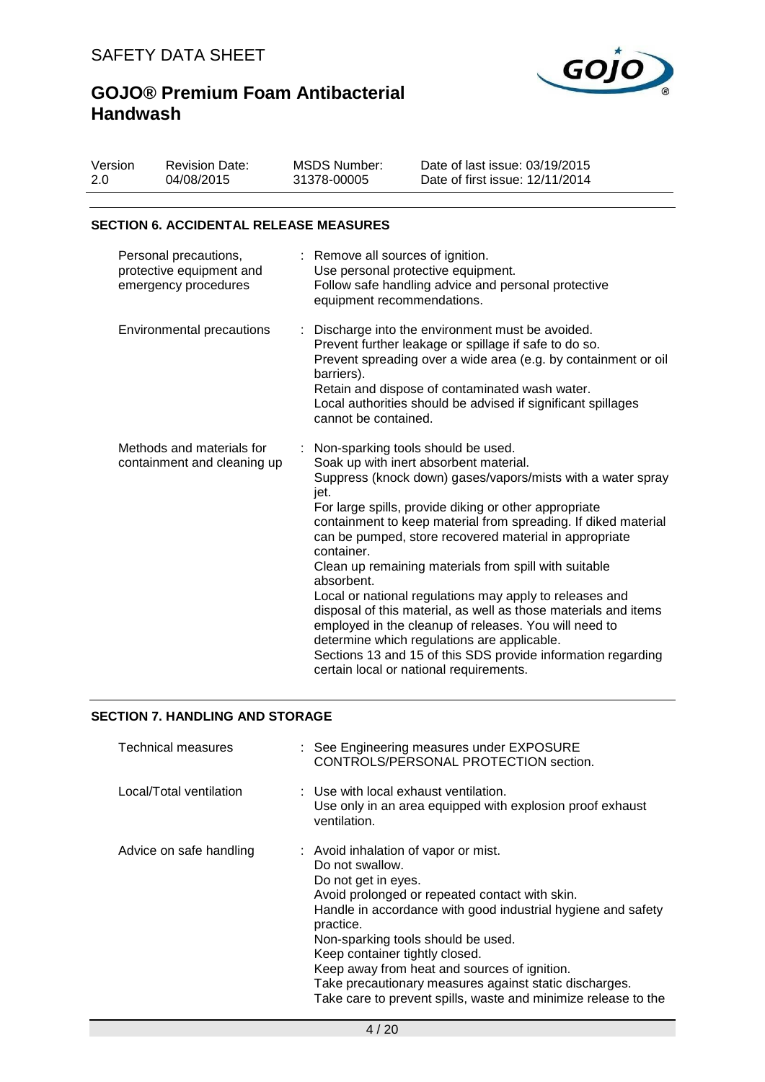

| Version | <b>Revision Date:</b> | MSDS Number: | Date of last issue: 03/19/2015  |
|---------|-----------------------|--------------|---------------------------------|
| 2.0     | 04/08/2015            | 31378-00005  | Date of first issue: 12/11/2014 |

### **SECTION 6. ACCIDENTAL RELEASE MEASURES**

| Personal precautions,<br>protective equipment and<br>emergency procedures | : Remove all sources of ignition.<br>Use personal protective equipment.<br>Follow safe handling advice and personal protective<br>equipment recommendations.                                                                                                                                                                                                                                                                                                                                                                                                                                                                                                                                                                                                                     |
|---------------------------------------------------------------------------|----------------------------------------------------------------------------------------------------------------------------------------------------------------------------------------------------------------------------------------------------------------------------------------------------------------------------------------------------------------------------------------------------------------------------------------------------------------------------------------------------------------------------------------------------------------------------------------------------------------------------------------------------------------------------------------------------------------------------------------------------------------------------------|
| Environmental precautions                                                 | : Discharge into the environment must be avoided.<br>Prevent further leakage or spillage if safe to do so.<br>Prevent spreading over a wide area (e.g. by containment or oil<br>barriers).<br>Retain and dispose of contaminated wash water.<br>Local authorities should be advised if significant spillages<br>cannot be contained.                                                                                                                                                                                                                                                                                                                                                                                                                                             |
| Methods and materials for<br>containment and cleaning up                  | : Non-sparking tools should be used.<br>Soak up with inert absorbent material.<br>Suppress (knock down) gases/vapors/mists with a water spray<br>jet.<br>For large spills, provide diking or other appropriate<br>containment to keep material from spreading. If diked material<br>can be pumped, store recovered material in appropriate<br>container.<br>Clean up remaining materials from spill with suitable<br>absorbent.<br>Local or national regulations may apply to releases and<br>disposal of this material, as well as those materials and items<br>employed in the cleanup of releases. You will need to<br>determine which regulations are applicable.<br>Sections 13 and 15 of this SDS provide information regarding<br>certain local or national requirements. |

### **SECTION 7. HANDLING AND STORAGE**

| Technical measures      | : See Engineering measures under EXPOSURE<br>CONTROLS/PERSONAL PROTECTION section.                                                                                                                                                                                                                                                                                                                                                                                |
|-------------------------|-------------------------------------------------------------------------------------------------------------------------------------------------------------------------------------------------------------------------------------------------------------------------------------------------------------------------------------------------------------------------------------------------------------------------------------------------------------------|
| Local/Total ventilation | : Use with local exhaust ventilation.<br>Use only in an area equipped with explosion proof exhaust<br>ventilation.                                                                                                                                                                                                                                                                                                                                                |
| Advice on safe handling | : Avoid inhalation of vapor or mist.<br>Do not swallow.<br>Do not get in eyes.<br>Avoid prolonged or repeated contact with skin.<br>Handle in accordance with good industrial hygiene and safety<br>practice.<br>Non-sparking tools should be used.<br>Keep container tightly closed.<br>Keep away from heat and sources of ignition.<br>Take precautionary measures against static discharges.<br>Take care to prevent spills, waste and minimize release to the |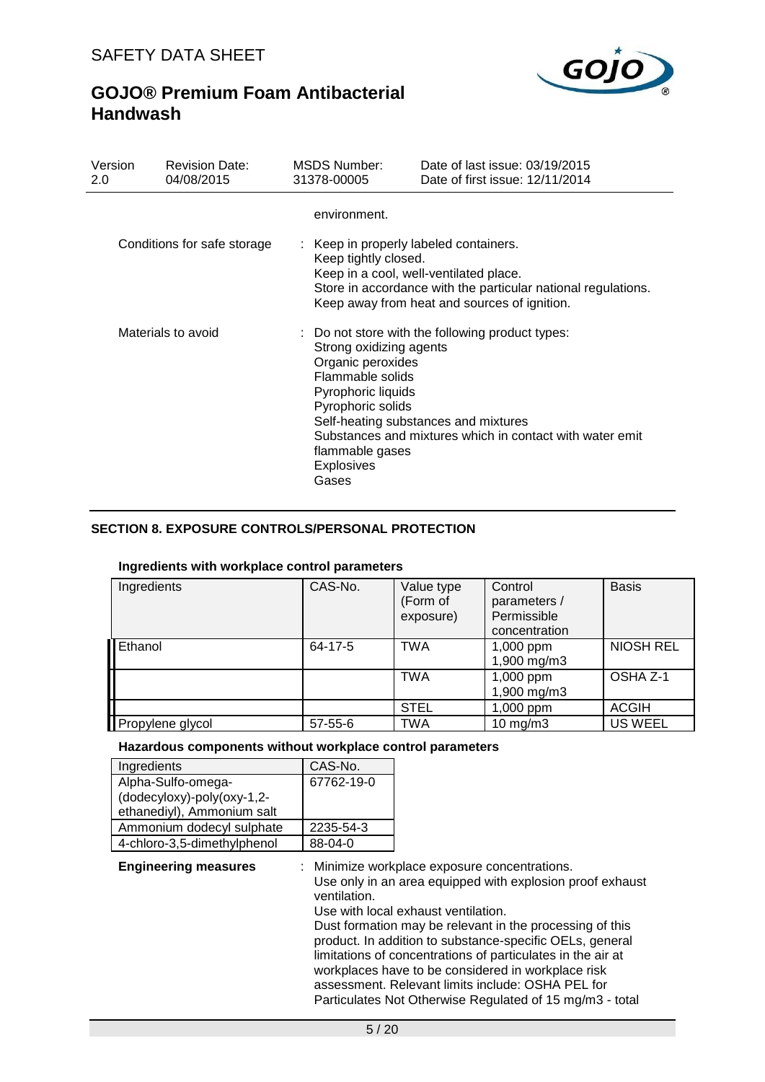

| Version<br>2.0 | <b>Revision Date:</b><br>04/08/2015 | MSDS Number:<br>31378-00005                                                                                                                                  | Date of last issue: 03/19/2015<br>Date of first issue: 12/11/2014                                                                                       |
|----------------|-------------------------------------|--------------------------------------------------------------------------------------------------------------------------------------------------------------|---------------------------------------------------------------------------------------------------------------------------------------------------------|
|                |                                     | environment.                                                                                                                                                 |                                                                                                                                                         |
|                | Conditions for safe storage         | : Keep in properly labeled containers.<br>Keep tightly closed.                                                                                               | Keep in a cool, well-ventilated place.<br>Store in accordance with the particular national regulations.<br>Keep away from heat and sources of ignition. |
|                | Materials to avoid                  | Strong oxidizing agents<br>Organic peroxides<br>Flammable solids<br>Pyrophoric liquids<br>Pyrophoric solids<br>flammable gases<br><b>Explosives</b><br>Gases | : Do not store with the following product types:<br>Self-heating substances and mixtures<br>Substances and mixtures which in contact with water emit    |

### **SECTION 8. EXPOSURE CONTROLS/PERSONAL PROTECTION**

### **Ingredients with workplace control parameters**

| Ingredients      | CAS-No.       | Value type<br>(Form of<br>exposure) | Control<br>parameters /<br>Permissible<br>concentration | <b>Basis</b>     |
|------------------|---------------|-------------------------------------|---------------------------------------------------------|------------------|
| <b>Ethanol</b>   | 64-17-5       | <b>TWA</b>                          | 1,000 ppm<br>1,900 mg/m3                                | <b>NIOSH REL</b> |
|                  |               | <b>TWA</b>                          | 1,000 ppm<br>1,900 mg/m3                                | OSHA Z-1         |
|                  |               | <b>STEL</b>                         | 1,000 ppm                                               | <b>ACGIH</b>     |
| Propylene glycol | $57 - 55 - 6$ | TWA                                 | $10 \text{ mg/m}$                                       | <b>US WEEL</b>   |

#### **Hazardous components without workplace control parameters**

| Ingredients                 | CAS-No.    |
|-----------------------------|------------|
| Alpha-Sulfo-omega-          | 67762-19-0 |
| (dodecyloxy)-poly(oxy-1,2-  |            |
| ethanediyl), Ammonium salt  |            |
| Ammonium dodecyl sulphate   | 2235-54-3  |
| 4-chloro-3,5-dimethylphenol | 88-04-0    |

**Engineering measures** : Minimize workplace exposure concentrations. Use only in an area equipped with explosion proof exhaust

ventilation. Use with local exhaust ventilation. Dust formation may be relevant in the processing of this product. In addition to substance-specific OELs, general limitations of concentrations of particulates in the air at workplaces have to be considered in workplace risk assessment. Relevant limits include: OSHA PEL for Particulates Not Otherwise Regulated of 15 mg/m3 - total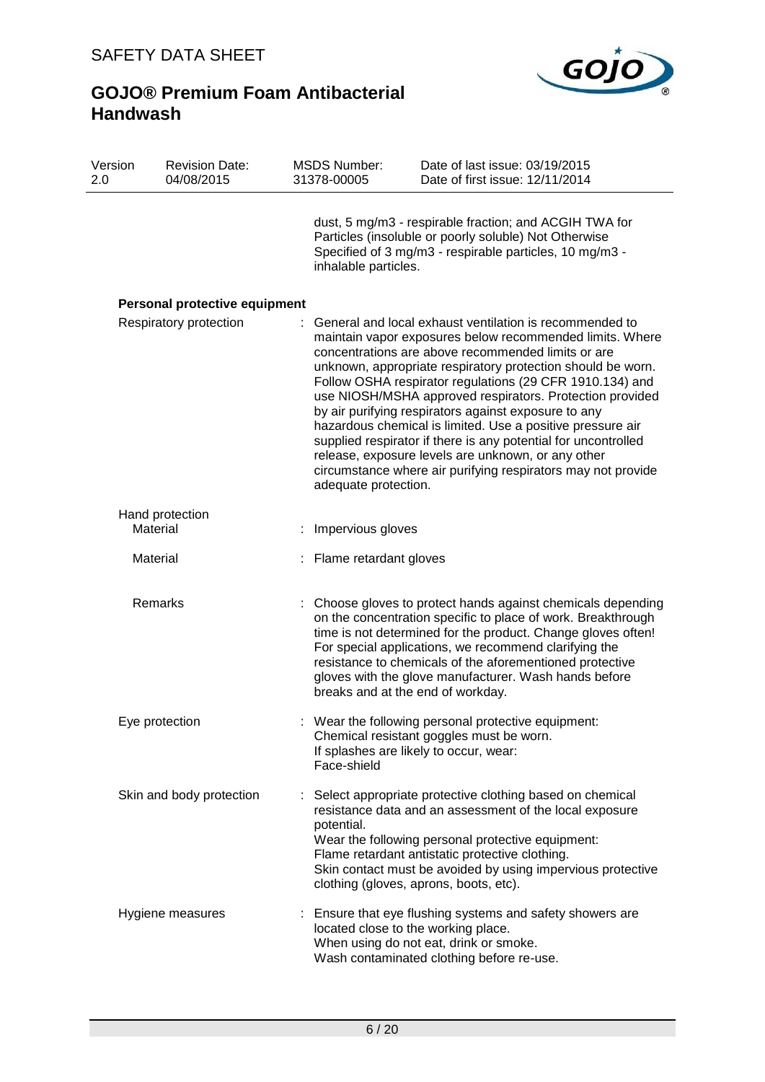

| Version<br><b>Revision Date:</b><br>2.0<br>04/08/2015 |                               | <b>MSDS Number:</b><br>31378-00005                    | Date of last issue: 03/19/2015<br>Date of first issue: 12/11/2014                                                                                                                                                                                                                                                                                                                                                                                                                                                                                                                                                                                                              |  |
|-------------------------------------------------------|-------------------------------|-------------------------------------------------------|--------------------------------------------------------------------------------------------------------------------------------------------------------------------------------------------------------------------------------------------------------------------------------------------------------------------------------------------------------------------------------------------------------------------------------------------------------------------------------------------------------------------------------------------------------------------------------------------------------------------------------------------------------------------------------|--|
|                                                       |                               | inhalable particles.                                  | dust, 5 mg/m3 - respirable fraction; and ACGIH TWA for<br>Particles (insoluble or poorly soluble) Not Otherwise<br>Specified of 3 mg/m3 - respirable particles, 10 mg/m3 -                                                                                                                                                                                                                                                                                                                                                                                                                                                                                                     |  |
|                                                       | Personal protective equipment |                                                       |                                                                                                                                                                                                                                                                                                                                                                                                                                                                                                                                                                                                                                                                                |  |
|                                                       | Respiratory protection        | adequate protection.                                  | General and local exhaust ventilation is recommended to<br>maintain vapor exposures below recommended limits. Where<br>concentrations are above recommended limits or are<br>unknown, appropriate respiratory protection should be worn.<br>Follow OSHA respirator regulations (29 CFR 1910.134) and<br>use NIOSH/MSHA approved respirators. Protection provided<br>by air purifying respirators against exposure to any<br>hazardous chemical is limited. Use a positive pressure air<br>supplied respirator if there is any potential for uncontrolled<br>release, exposure levels are unknown, or any other<br>circumstance where air purifying respirators may not provide |  |
|                                                       | Hand protection<br>Material   | Impervious gloves                                     |                                                                                                                                                                                                                                                                                                                                                                                                                                                                                                                                                                                                                                                                                |  |
|                                                       | Material                      | Flame retardant gloves                                |                                                                                                                                                                                                                                                                                                                                                                                                                                                                                                                                                                                                                                                                                |  |
|                                                       | Remarks                       | breaks and at the end of workday.                     | Choose gloves to protect hands against chemicals depending<br>on the concentration specific to place of work. Breakthrough<br>time is not determined for the product. Change gloves often!<br>For special applications, we recommend clarifying the<br>resistance to chemicals of the aforementioned protective<br>gloves with the glove manufacturer. Wash hands before                                                                                                                                                                                                                                                                                                       |  |
|                                                       | Eye protection                | If splashes are likely to occur, wear:<br>Face-shield | Wear the following personal protective equipment:<br>Chemical resistant goggles must be worn.                                                                                                                                                                                                                                                                                                                                                                                                                                                                                                                                                                                  |  |
|                                                       | Skin and body protection      | potential.                                            | Select appropriate protective clothing based on chemical<br>resistance data and an assessment of the local exposure<br>Wear the following personal protective equipment:<br>Flame retardant antistatic protective clothing.<br>Skin contact must be avoided by using impervious protective<br>clothing (gloves, aprons, boots, etc).                                                                                                                                                                                                                                                                                                                                           |  |
|                                                       | Hygiene measures              | located close to the working place.                   | Ensure that eye flushing systems and safety showers are<br>When using do not eat, drink or smoke.<br>Wash contaminated clothing before re-use.                                                                                                                                                                                                                                                                                                                                                                                                                                                                                                                                 |  |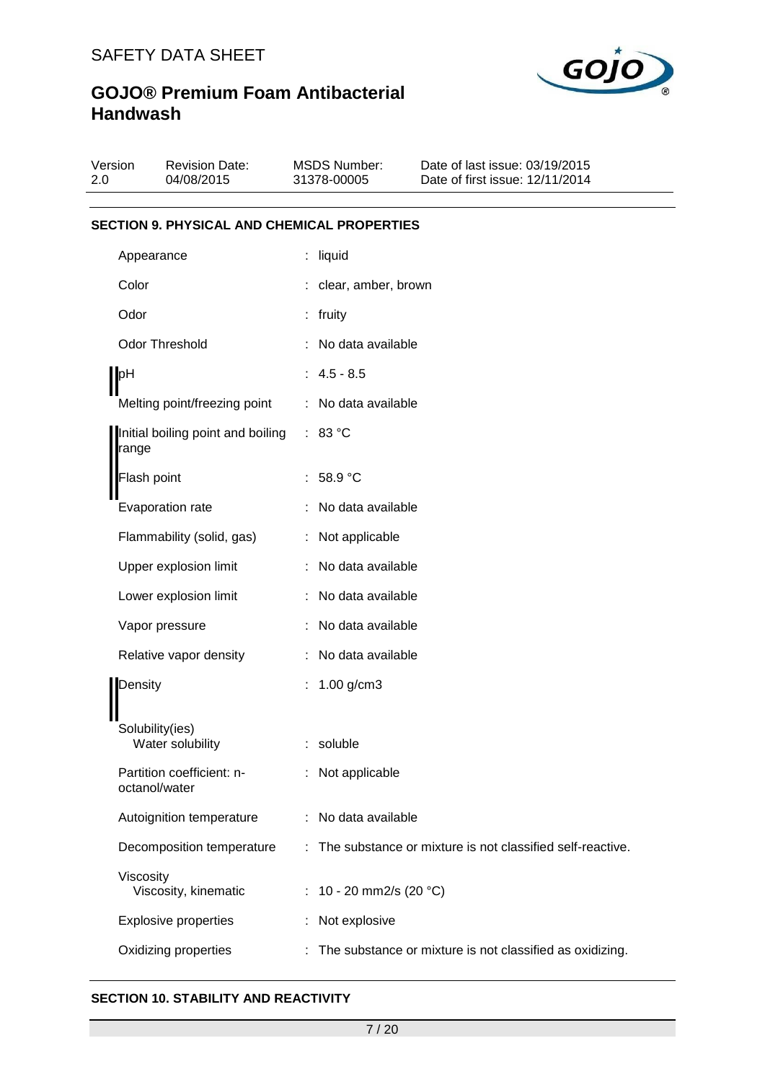

| Version<br>2.0 | <b>Revision Date:</b><br>04/08/2015                |   | MSDS Number:<br>31378-00005 | Date of last issue: 03/19/2015<br>Date of first issue: 12/11/2014 |
|----------------|----------------------------------------------------|---|-----------------------------|-------------------------------------------------------------------|
|                | <b>SECTION 9. PHYSICAL AND CHEMICAL PROPERTIES</b> |   |                             |                                                                   |
|                | Appearance                                         | ÷ | liquid                      |                                                                   |
| Color          |                                                    |   | : clear, amber, brown       |                                                                   |
| Odor           |                                                    |   | : fruity                    |                                                                   |
|                | <b>Odor Threshold</b>                              |   | No data available           |                                                                   |
| $\blacksquare$ |                                                    |   | $: 4.5 - 8.5$               |                                                                   |
|                | Melting point/freezing point                       |   | : No data available         |                                                                   |
| range          | Initial boiling point and boiling                  |   | : 83 °C                     |                                                                   |
|                | Flash point                                        |   | : $58.9 °C$                 |                                                                   |
|                | Evaporation rate                                   |   | No data available           |                                                                   |
|                | Flammability (solid, gas)                          |   | : Not applicable            |                                                                   |
|                | Upper explosion limit                              |   | : No data available         |                                                                   |
|                | Lower explosion limit                              |   | No data available           |                                                                   |
|                | Vapor pressure                                     |   | No data available           |                                                                   |
|                | Relative vapor density                             |   | : No data available         |                                                                   |
| Density        |                                                    |   | 1.00 g/cm3                  |                                                                   |
|                | Solubility(ies)<br>Water solubility                |   | soluble                     |                                                                   |
|                | Partition coefficient: n-<br>octanol/water         |   | Not applicable              |                                                                   |
|                | Autoignition temperature                           |   | No data available           |                                                                   |
|                | Decomposition temperature                          |   |                             | The substance or mixture is not classified self-reactive.         |
| Viscosity      | Viscosity, kinematic                               |   | 10 - 20 mm2/s (20 °C)       |                                                                   |
|                | <b>Explosive properties</b>                        |   | Not explosive               |                                                                   |
|                | Oxidizing properties                               |   |                             | The substance or mixture is not classified as oxidizing.          |

### **SECTION 10. STABILITY AND REACTIVITY**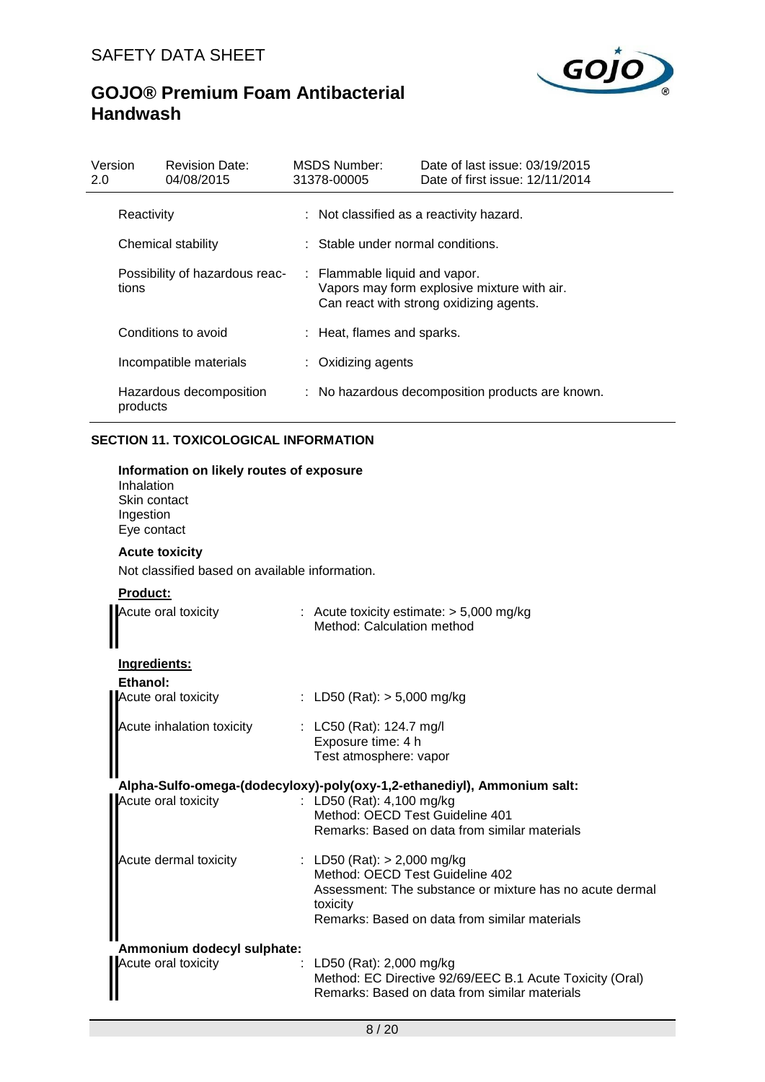

| Version<br>2.0 | <b>Revision Date:</b><br>04/08/2015 | MSDS Number:<br>31378-00005                  | Date of last issue: 03/19/2015<br>Date of first issue: 12/11/2014                      |
|----------------|-------------------------------------|----------------------------------------------|----------------------------------------------------------------------------------------|
| Reactivity     |                                     |                                              | : Not classified as a reactivity hazard.                                               |
|                | Chemical stability                  | $\therefore$ Stable under normal conditions. |                                                                                        |
| tions          | Possibility of hazardous reac-      | : Flammable liquid and vapor.                | Vapors may form explosive mixture with air.<br>Can react with strong oxidizing agents. |
|                | Conditions to avoid                 | : Heat, flames and sparks.                   |                                                                                        |
|                | Incompatible materials              | : Oxidizing agents                           |                                                                                        |
| products       | Hazardous decomposition             |                                              | : No hazardous decomposition products are known.                                       |

### **SECTION 11. TOXICOLOGICAL INFORMATION**

| Information on likely routes of exposure<br>Inhalation<br>Skin contact<br>Ingestion<br>Eye contact |                                                                                                                                                                                           |
|----------------------------------------------------------------------------------------------------|-------------------------------------------------------------------------------------------------------------------------------------------------------------------------------------------|
| <b>Acute toxicity</b>                                                                              |                                                                                                                                                                                           |
| Not classified based on available information.                                                     |                                                                                                                                                                                           |
|                                                                                                    |                                                                                                                                                                                           |
| Acute oral toxicity                                                                                | : Acute toxicity estimate: $> 5,000$ mg/kg<br>Method: Calculation method                                                                                                                  |
| Ingredients:                                                                                       |                                                                                                                                                                                           |
| <b>Ethanol:</b>                                                                                    |                                                                                                                                                                                           |
| Acute oral toxicity                                                                                | : LD50 (Rat): $> 5,000$ mg/kg                                                                                                                                                             |
| Acute inhalation toxicity                                                                          | : LC50 (Rat): 124.7 mg/l<br>Exposure time: 4 h<br>Test atmosphere: vapor                                                                                                                  |
|                                                                                                    | Alpha-Sulfo-omega-(dodecyloxy)-poly(oxy-1,2-ethanediyl), Ammonium salt:                                                                                                                   |
| Acute oral toxicity                                                                                | : LD50 (Rat): 4,100 mg/kg<br>Method: OECD Test Guideline 401<br>Remarks: Based on data from similar materials                                                                             |
| Acute dermal toxicity                                                                              | : LD50 (Rat): $> 2,000$ mg/kg<br>Method: OECD Test Guideline 402<br>Assessment: The substance or mixture has no acute dermal<br>toxicity<br>Remarks: Based on data from similar materials |
| Ammonium dodecyl sulphate:<br>Acute oral toxicity                                                  | LD50 (Rat): 2,000 mg/kg<br>Method: EC Directive 92/69/EEC B.1 Acute Toxicity (Oral)<br>Remarks: Based on data from similar materials                                                      |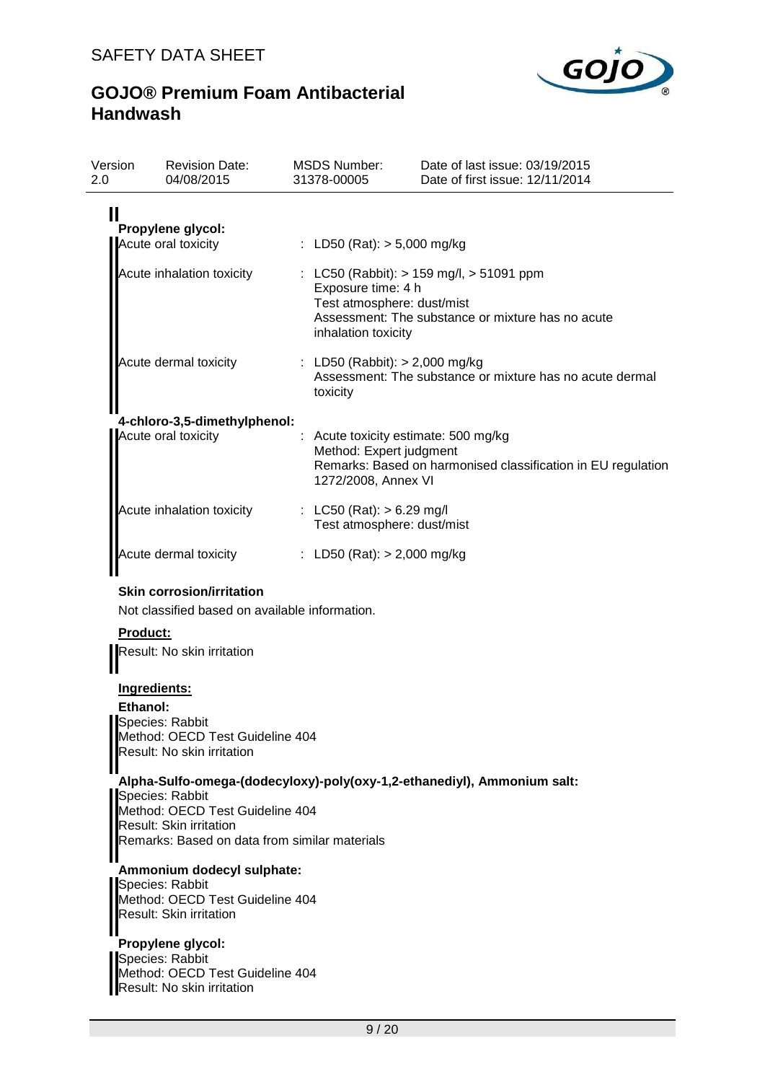

| Version<br>2.0  | <b>Revision Date:</b><br>04/08/2015                                                                         | <b>MSDS Number:</b><br>31378-00005                                      | Date of last issue: 03/19/2015<br>Date of first issue: 12/11/2014                                    |  |  |  |
|-----------------|-------------------------------------------------------------------------------------------------------------|-------------------------------------------------------------------------|------------------------------------------------------------------------------------------------------|--|--|--|
| Ш               |                                                                                                             |                                                                         |                                                                                                      |  |  |  |
|                 | Propylene glycol:<br>Acute oral toxicity                                                                    | : LD50 (Rat): $> 5,000$ mg/kg                                           |                                                                                                      |  |  |  |
|                 |                                                                                                             |                                                                         |                                                                                                      |  |  |  |
|                 | Acute inhalation toxicity                                                                                   | Exposure time: 4 h<br>Test atmosphere: dust/mist<br>inhalation toxicity | : LC50 (Rabbit): $> 159$ mg/l, $> 51091$ ppm<br>Assessment: The substance or mixture has no acute    |  |  |  |
|                 | Acute dermal toxicity                                                                                       | : LD50 (Rabbit): $> 2,000$ mg/kg<br>toxicity                            | Assessment: The substance or mixture has no acute dermal                                             |  |  |  |
|                 | 4-chloro-3,5-dimethylphenol:                                                                                |                                                                         |                                                                                                      |  |  |  |
|                 | Acute oral toxicity                                                                                         | Method: Expert judgment<br>1272/2008, Annex VI                          | : Acute toxicity estimate: 500 mg/kg<br>Remarks: Based on harmonised classification in EU regulation |  |  |  |
|                 | Acute inhalation toxicity                                                                                   | : LC50 (Rat): $> 6.29$ mg/l<br>Test atmosphere: dust/mist               |                                                                                                      |  |  |  |
|                 | Acute dermal toxicity                                                                                       | : LD50 (Rat): $> 2,000$ mg/kg                                           |                                                                                                      |  |  |  |
| <b>Product:</b> | Not classified based on available information.<br>Result: No skin irritation                                |                                                                         |                                                                                                      |  |  |  |
|                 | Ingredients:                                                                                                |                                                                         |                                                                                                      |  |  |  |
| Ethanol:        |                                                                                                             |                                                                         |                                                                                                      |  |  |  |
|                 | Species: Rabbit<br>Method: OECD Test Guideline 404<br>Result: No skin irritation                            |                                                                         |                                                                                                      |  |  |  |
|                 | Species: Rabbit                                                                                             |                                                                         | Alpha-Sulfo-omega-(dodecyloxy)-poly(oxy-1,2-ethanediyl), Ammonium salt:                              |  |  |  |
|                 | Method: OECD Test Guideline 404<br>Result: Skin irritation<br>Remarks: Based on data from similar materials |                                                                         |                                                                                                      |  |  |  |
|                 | Ammonium dodecyl sulphate:<br>Species: Rabbit                                                               |                                                                         |                                                                                                      |  |  |  |
|                 | Method: OECD Test Guideline 404<br>Result: Skin irritation                                                  |                                                                         |                                                                                                      |  |  |  |
|                 | Propylene glycol:<br>Species: Rabbit<br>Method: OECD Test Guideline 404<br>Result: No skin irritation       |                                                                         |                                                                                                      |  |  |  |
|                 |                                                                                                             | 9/20                                                                    |                                                                                                      |  |  |  |
|                 |                                                                                                             |                                                                         |                                                                                                      |  |  |  |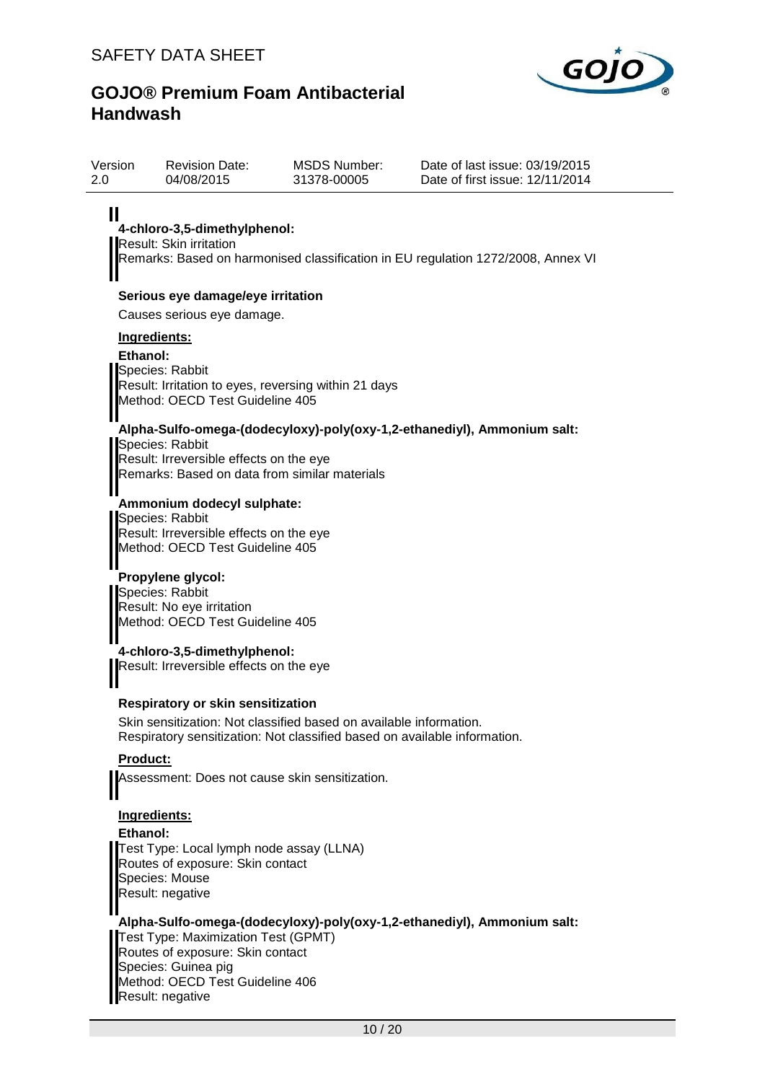Version



Date of last issue: 03/19/2015

# **GOJO® Premium Foam Antibacterial Handwash**

Revision Date:

| <u>VEISIUIT</u><br>2.0 | Revision Date.<br>04/08/2015                                                                                                                          | <b>INIOUS INUITIDEL.</b><br>31378-00005                                                                                                         | Dale of last issue. Op/19/2019<br>Date of first issue: 12/11/2014                |
|------------------------|-------------------------------------------------------------------------------------------------------------------------------------------------------|-------------------------------------------------------------------------------------------------------------------------------------------------|----------------------------------------------------------------------------------|
| Ш                      | 4-chloro-3,5-dimethylphenol:<br><b>Result: Skin irritation</b>                                                                                        |                                                                                                                                                 | Remarks: Based on harmonised classification in EU regulation 1272/2008, Annex VI |
|                        |                                                                                                                                                       |                                                                                                                                                 |                                                                                  |
|                        | Serious eye damage/eye irritation<br>Causes serious eye damage.                                                                                       |                                                                                                                                                 |                                                                                  |
|                        | <b>Ingredients:</b>                                                                                                                                   |                                                                                                                                                 |                                                                                  |
| Ethanol:               | Species: Rabbit<br>Method: OECD Test Guideline 405                                                                                                    | Result: Irritation to eyes, reversing within 21 days                                                                                            |                                                                                  |
|                        | Species: Rabbit                                                                                                                                       |                                                                                                                                                 | Alpha-Sulfo-omega-(dodecyloxy)-poly(oxy-1,2-ethanediyl), Ammonium salt:          |
|                        | Result: Irreversible effects on the eye<br>Remarks: Based on data from similar materials                                                              |                                                                                                                                                 |                                                                                  |
|                        | Ammonium dodecyl sulphate:<br>Species: Rabbit<br>Result: Irreversible effects on the eye<br>Method: OECD Test Guideline 405                           |                                                                                                                                                 |                                                                                  |
|                        | Propylene glycol:<br>Species: Rabbit<br>Result: No eye irritation<br>Method: OECD Test Guideline 405                                                  |                                                                                                                                                 |                                                                                  |
|                        | 4-chloro-3,5-dimethylphenol:<br>Result: Irreversible effects on the eye                                                                               |                                                                                                                                                 |                                                                                  |
|                        | <b>Respiratory or skin sensitization</b>                                                                                                              |                                                                                                                                                 |                                                                                  |
|                        |                                                                                                                                                       | Skin sensitization: Not classified based on available information.<br>Respiratory sensitization: Not classified based on available information. |                                                                                  |
| <b>Product:</b>        |                                                                                                                                                       |                                                                                                                                                 |                                                                                  |
|                        | Assessment: Does not cause skin sensitization.                                                                                                        |                                                                                                                                                 |                                                                                  |
| Ethanol:               | Ingredients:                                                                                                                                          |                                                                                                                                                 |                                                                                  |
|                        | Test Type: Local lymph node assay (LLNA)<br>Routes of exposure: Skin contact<br>Species: Mouse<br>Result: negative                                    |                                                                                                                                                 |                                                                                  |
|                        | Test Type: Maximization Test (GPMT)<br>Routes of exposure: Skin contact<br>Species: Guinea pig<br>Method: OECD Test Guideline 406<br>Result: negative |                                                                                                                                                 | Alpha-Sulfo-omega-(dodecyloxy)-poly(oxy-1,2-ethanediyl), Ammonium salt:          |

MSDS Number: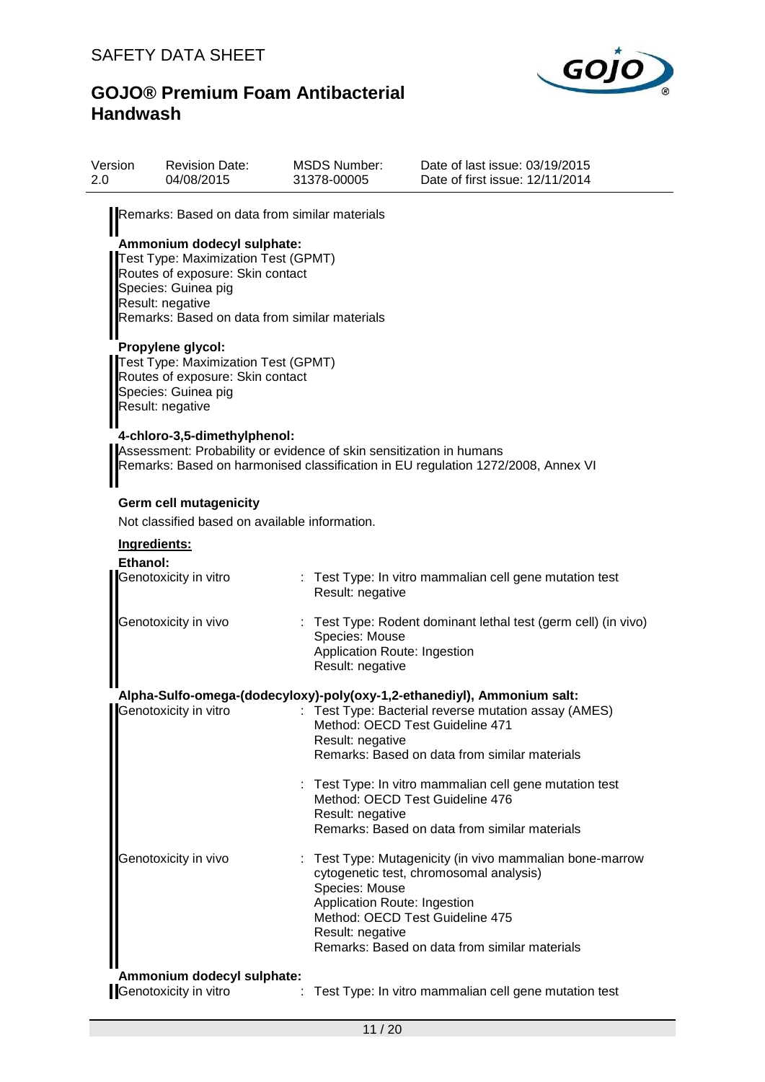

| Version<br>2.0 | <b>Revision Date:</b><br>04/08/2015                                                                                                                                                               |  | <b>MSDS Number:</b><br>31378-00005                                                                    | Date of last issue: 03/19/2015<br>Date of first issue: 12/11/2014                                                                                                              |  |  |  |  |  |
|----------------|---------------------------------------------------------------------------------------------------------------------------------------------------------------------------------------------------|--|-------------------------------------------------------------------------------------------------------|--------------------------------------------------------------------------------------------------------------------------------------------------------------------------------|--|--|--|--|--|
|                | Remarks: Based on data from similar materials                                                                                                                                                     |  |                                                                                                       |                                                                                                                                                                                |  |  |  |  |  |
|                | Ammonium dodecyl sulphate:<br>Test Type: Maximization Test (GPMT)<br>Routes of exposure: Skin contact<br>Species: Guinea pig<br>Result: negative<br>Remarks: Based on data from similar materials |  |                                                                                                       |                                                                                                                                                                                |  |  |  |  |  |
|                | Propylene glycol:<br>Test Type: Maximization Test (GPMT)<br>Routes of exposure: Skin contact<br>Species: Guinea pig<br>Result: negative                                                           |  |                                                                                                       |                                                                                                                                                                                |  |  |  |  |  |
|                | 4-chloro-3,5-dimethylphenol:<br>Assessment: Probability or evidence of skin sensitization in humans                                                                                               |  |                                                                                                       | Remarks: Based on harmonised classification in EU regulation 1272/2008, Annex VI                                                                                               |  |  |  |  |  |
|                | <b>Germ cell mutagenicity</b><br>Not classified based on available information.                                                                                                                   |  |                                                                                                       |                                                                                                                                                                                |  |  |  |  |  |
|                | Ingredients:                                                                                                                                                                                      |  |                                                                                                       |                                                                                                                                                                                |  |  |  |  |  |
|                | Ethanol:<br>Genotoxicity in vitro                                                                                                                                                                 |  | Result: negative                                                                                      | : Test Type: In vitro mammalian cell gene mutation test                                                                                                                        |  |  |  |  |  |
|                | Genotoxicity in vivo                                                                                                                                                                              |  | Species: Mouse<br>Application Route: Ingestion<br>Result: negative                                    | : Test Type: Rodent dominant lethal test (germ cell) (in vivo)                                                                                                                 |  |  |  |  |  |
|                | Genotoxicity in vitro                                                                                                                                                                             |  | Method: OECD Test Guideline 471<br>Result: negative                                                   | Alpha-Sulfo-omega-(dodecyloxy)-poly(oxy-1,2-ethanediyl), Ammonium salt:<br>Test Type: Bacterial reverse mutation assay (AMES)<br>Remarks: Based on data from similar materials |  |  |  |  |  |
|                |                                                                                                                                                                                                   |  | Method: OECD Test Guideline 476<br>Result: negative                                                   | Test Type: In vitro mammalian cell gene mutation test<br>Remarks: Based on data from similar materials                                                                         |  |  |  |  |  |
|                | Genotoxicity in vivo                                                                                                                                                                              |  | Species: Mouse<br>Application Route: Ingestion<br>Method: OECD Test Guideline 475<br>Result: negative | : Test Type: Mutagenicity (in vivo mammalian bone-marrow<br>cytogenetic test, chromosomal analysis)<br>Remarks: Based on data from similar materials                           |  |  |  |  |  |
|                | Ammonium dodecyl sulphate:<br>Genotoxicity in vitro                                                                                                                                               |  |                                                                                                       | Test Type: In vitro mammalian cell gene mutation test                                                                                                                          |  |  |  |  |  |
|                |                                                                                                                                                                                                   |  |                                                                                                       |                                                                                                                                                                                |  |  |  |  |  |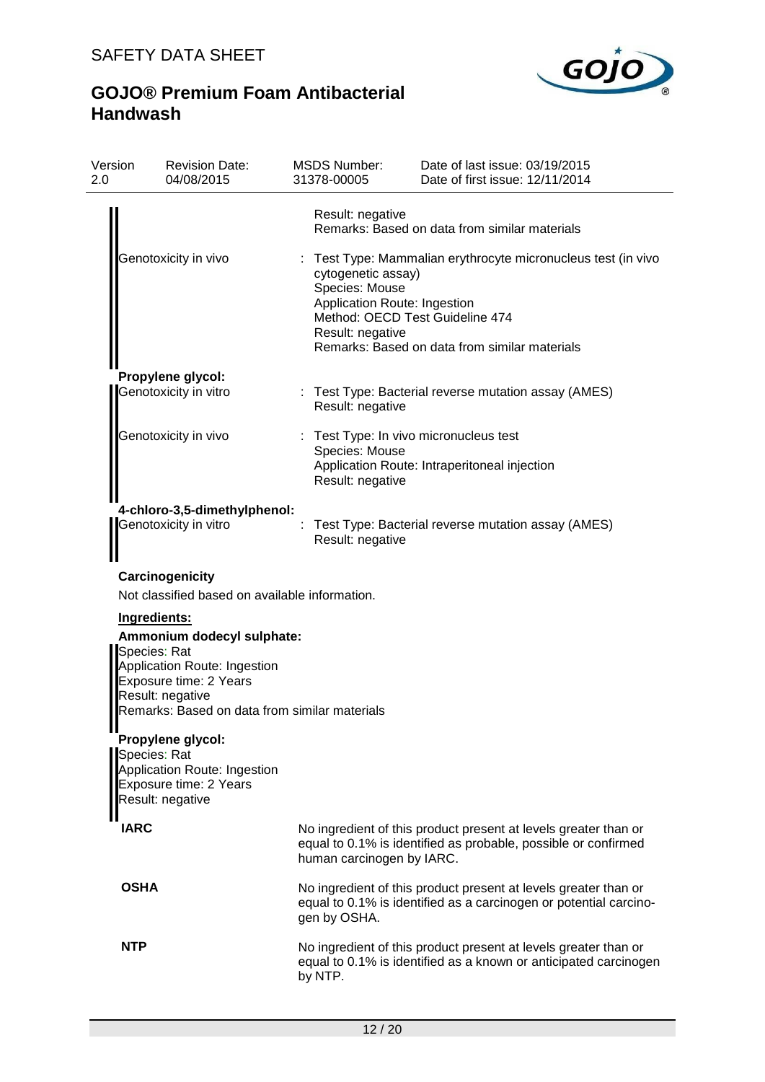

| Version<br>2.0 | <b>Revision Date:</b><br>04/08/2015                                                                                                                                                       |  | <b>MSDS Number:</b><br>31378-00005                                                                                          | Date of last issue: 03/19/2015<br>Date of first issue: 12/11/2014                                                                    |  |
|----------------|-------------------------------------------------------------------------------------------------------------------------------------------------------------------------------------------|--|-----------------------------------------------------------------------------------------------------------------------------|--------------------------------------------------------------------------------------------------------------------------------------|--|
|                |                                                                                                                                                                                           |  | Result: negative                                                                                                            | Remarks: Based on data from similar materials                                                                                        |  |
|                | Genotoxicity in vivo                                                                                                                                                                      |  | cytogenetic assay)<br>Species: Mouse<br>Application Route: Ingestion<br>Method: OECD Test Guideline 474<br>Result: negative | Test Type: Mammalian erythrocyte micronucleus test (in vivo<br>Remarks: Based on data from similar materials                         |  |
|                | Propylene glycol:                                                                                                                                                                         |  |                                                                                                                             |                                                                                                                                      |  |
|                | Genotoxicity in vitro                                                                                                                                                                     |  | Result: negative                                                                                                            | Test Type: Bacterial reverse mutation assay (AMES)                                                                                   |  |
|                | Genotoxicity in vivo                                                                                                                                                                      |  |                                                                                                                             | : Test Type: In vivo micronucleus test                                                                                               |  |
|                |                                                                                                                                                                                           |  | Species: Mouse<br>Result: negative                                                                                          | Application Route: Intraperitoneal injection                                                                                         |  |
|                | 4-chloro-3,5-dimethylphenol:                                                                                                                                                              |  |                                                                                                                             |                                                                                                                                      |  |
|                | Genotoxicity in vitro                                                                                                                                                                     |  | Result: negative                                                                                                            | Test Type: Bacterial reverse mutation assay (AMES)                                                                                   |  |
|                | Carcinogenicity                                                                                                                                                                           |  |                                                                                                                             |                                                                                                                                      |  |
|                | Not classified based on available information.                                                                                                                                            |  |                                                                                                                             |                                                                                                                                      |  |
|                | Ingredients:<br>Ammonium dodecyl sulphate:<br>Species: Rat<br>Application Route: Ingestion<br>Exposure time: 2 Years<br>Result: negative<br>Remarks: Based on data from similar materials |  |                                                                                                                             |                                                                                                                                      |  |
|                | Propylene glycol:                                                                                                                                                                         |  |                                                                                                                             |                                                                                                                                      |  |
|                | Species: Rat<br>Application Route: Ingestion<br>Exposure time: 2 Years<br>Result: negative                                                                                                |  |                                                                                                                             |                                                                                                                                      |  |
| <b>IARC</b>    |                                                                                                                                                                                           |  | human carcinogen by IARC.                                                                                                   | No ingredient of this product present at levels greater than or<br>equal to 0.1% is identified as probable, possible or confirmed    |  |
| <b>OSHA</b>    |                                                                                                                                                                                           |  | gen by OSHA.                                                                                                                | No ingredient of this product present at levels greater than or<br>equal to 0.1% is identified as a carcinogen or potential carcino- |  |
| <b>NTP</b>     |                                                                                                                                                                                           |  | by NTP.                                                                                                                     | No ingredient of this product present at levels greater than or<br>equal to 0.1% is identified as a known or anticipated carcinogen  |  |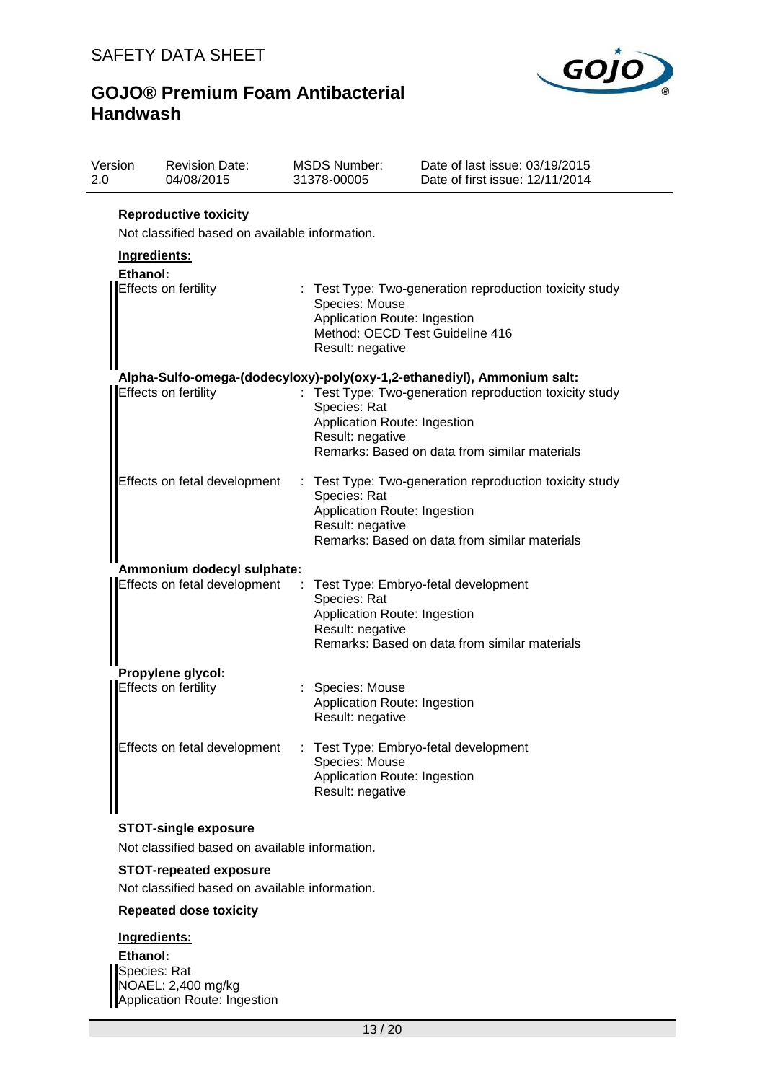

| Version<br>2.0 | <b>Revision Date:</b><br>04/08/2015                                            | <b>MSDS Number:</b><br>31378-00005                                   | Date of last issue: 03/19/2015<br>Date of first issue: 12/11/2014                                        |
|----------------|--------------------------------------------------------------------------------|----------------------------------------------------------------------|----------------------------------------------------------------------------------------------------------|
|                | <b>Reproductive toxicity</b><br>Not classified based on available information. |                                                                      |                                                                                                          |
|                | Ingredients:                                                                   |                                                                      |                                                                                                          |
|                | Ethanol:                                                                       |                                                                      |                                                                                                          |
|                | <b>Effects on fertility</b>                                                    | Species: Mouse<br>Application Route: Ingestion<br>Result: negative   | : Test Type: Two-generation reproduction toxicity study<br>Method: OECD Test Guideline 416               |
|                |                                                                                |                                                                      | Alpha-Sulfo-omega-(dodecyloxy)-poly(oxy-1,2-ethanediyl), Ammonium salt:                                  |
|                | <b>Effects on fertility</b>                                                    | Species: Rat<br>Application Route: Ingestion<br>Result: negative     | Test Type: Two-generation reproduction toxicity study<br>Remarks: Based on data from similar materials   |
|                | Effects on fetal development                                                   | Species: Rat<br>Application Route: Ingestion<br>Result: negative     | : Test Type: Two-generation reproduction toxicity study<br>Remarks: Based on data from similar materials |
|                | Ammonium dodecyl sulphate:                                                     |                                                                      |                                                                                                          |
|                | Effects on fetal development                                                   | Species: Rat<br>Application Route: Ingestion<br>Result: negative     | Test Type: Embryo-fetal development<br>Remarks: Based on data from similar materials                     |
|                | Propylene glycol:                                                              |                                                                      |                                                                                                          |
|                | <b>Effects on fertility</b>                                                    | : Species: Mouse<br>Application Route: Ingestion<br>Result: negative |                                                                                                          |
|                | Effects on fetal development                                                   | Species: Mouse<br>Application Route: Ingestion<br>Result: negative   | : Test Type: Embryo-fetal development                                                                    |

### **STOT-single exposure**

Not classified based on available information.

### **STOT-repeated exposure**

Not classified based on available information.

## **Repeated dose toxicity**

## **Ingredients:**

**Ethanol:** Species: Rat NOAEL: 2,400 mg/kg Application Route: Ingestion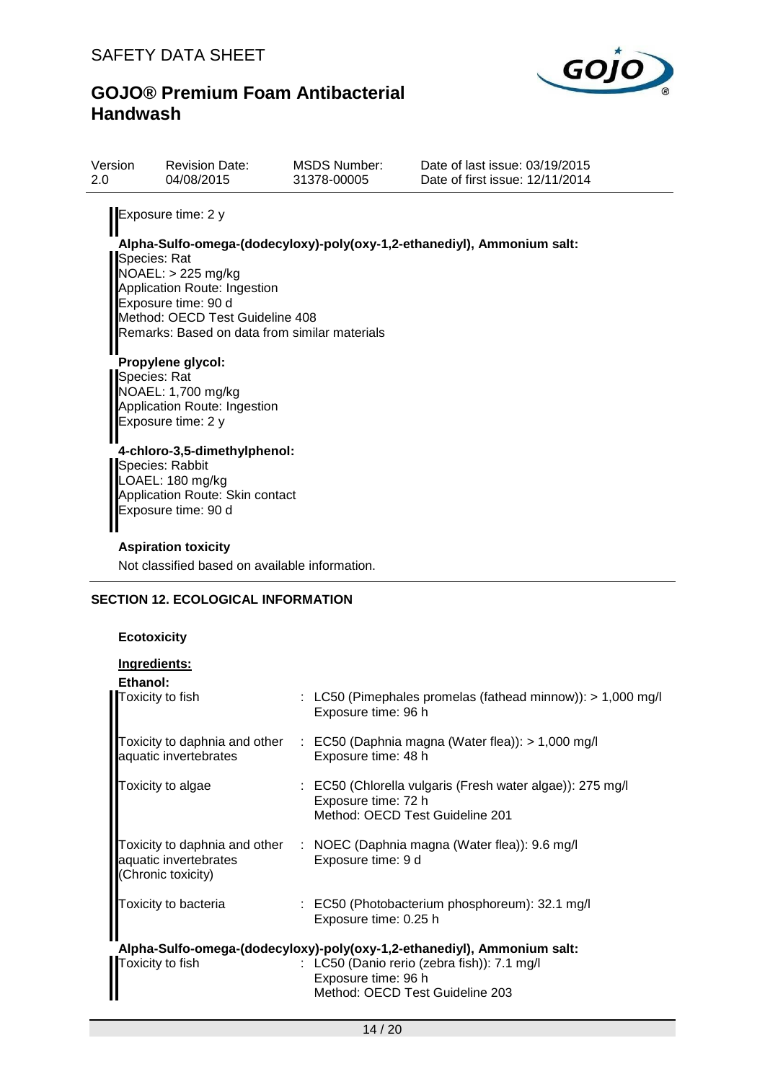

| Version<br>2.0                                                                                                                                      | <b>Revision Date:</b><br>04/08/2015                                                                                                                                                                                                                              | <b>MSDS Number:</b><br>31378-00005 | Date of last issue: 03/19/2015<br>Date of first issue: 12/11/2014       |  |  |  |  |
|-----------------------------------------------------------------------------------------------------------------------------------------------------|------------------------------------------------------------------------------------------------------------------------------------------------------------------------------------------------------------------------------------------------------------------|------------------------------------|-------------------------------------------------------------------------|--|--|--|--|
| Species: Rat<br>Species: Rat                                                                                                                        | Exposure time: 2 y<br>$NOAEL:$ > 225 mg/kg<br>Application Route: Ingestion<br>Exposure time: 90 d<br>Method: OECD Test Guideline 408<br>Remarks: Based on data from similar materials<br>Propylene glycol:<br>NOAEL: 1,700 mg/kg<br>Application Route: Ingestion |                                    | Alpha-Sulfo-omega-(dodecyloxy)-poly(oxy-1,2-ethanediyl), Ammonium salt: |  |  |  |  |
| Exposure time: 2 y<br>4-chloro-3,5-dimethylphenol:<br>Species: Rabbit<br>LOAEL: 180 mg/kg<br>Application Route: Skin contact<br>Exposure time: 90 d |                                                                                                                                                                                                                                                                  |                                    |                                                                         |  |  |  |  |
|                                                                                                                                                     | <b>Aspiration toxicity</b>                                                                                                                                                                                                                                       |                                    |                                                                         |  |  |  |  |
|                                                                                                                                                     | Not classified based on available information.                                                                                                                                                                                                                   |                                    |                                                                         |  |  |  |  |
|                                                                                                                                                     | <b>SECTION 12. ECOLOGICAL INFORMATION</b>                                                                                                                                                                                                                        |                                    |                                                                         |  |  |  |  |
| <b>Ecotoxicity</b>                                                                                                                                  |                                                                                                                                                                                                                                                                  |                                    |                                                                         |  |  |  |  |

| Ingredients:                                |                                                                                                                     |
|---------------------------------------------|---------------------------------------------------------------------------------------------------------------------|
| Ethanol:                                    |                                                                                                                     |
| Toxicity to fish                            | : LC50 (Pimephales promelas (fathead minnow)): $> 1,000$ mg/l<br>Exposure time: 96 h                                |
| aquatic invertebrates                       | Toxicity to daphnia and other : EC50 (Daphnia magna (Water flea)): > 1,000 mg/l<br>Exposure time: 48 h              |
| Toxicity to algae                           | : EC50 (Chlorella vulgaris (Fresh water algae)): 275 mg/l<br>Exposure time: 72 h<br>Method: OECD Test Guideline 201 |
| aquatic invertebrates<br>(Chronic toxicity) | Toxicity to daphnia and other : NOEC (Daphnia magna (Water flea)): 9.6 mg/l<br>Exposure time: 9 d                   |
| Toxicity to bacteria                        | $\therefore$ EC50 (Photobacterium phosphoreum): 32.1 mg/l<br>Exposure time: 0.25 h                                  |
|                                             | Alpha-Sulfo-omega-(dodecyloxy)-poly(oxy-1,2-ethanediyl), Ammonium salt:                                             |
| Toxicity to fish                            | : LC50 (Danio rerio (zebra fish)): 7.1 mg/l<br>Exposure time: 96 h<br>Method: OECD Test Guideline 203               |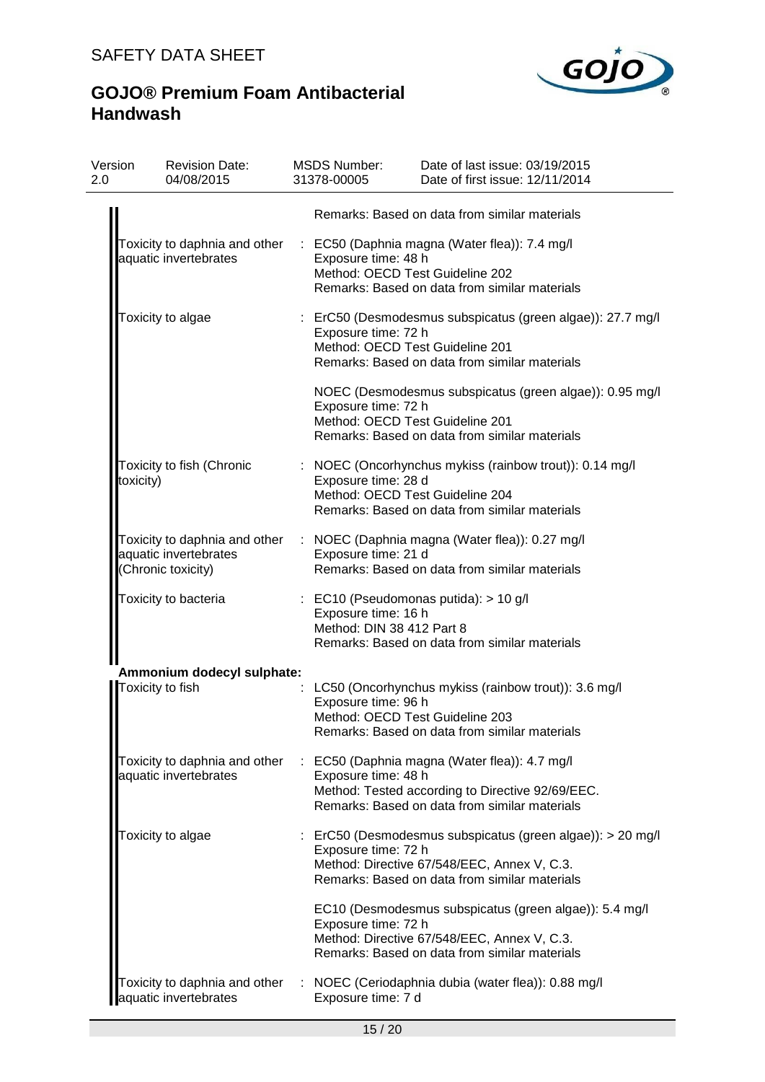

| Version<br>2.0 | <b>Revision Date:</b><br>04/08/2015                    |   | <b>MSDS Number:</b><br>31378-00005                     | Date of last issue: 03/19/2015<br>Date of first issue: 12/11/2014                                                                                          |
|----------------|--------------------------------------------------------|---|--------------------------------------------------------|------------------------------------------------------------------------------------------------------------------------------------------------------------|
|                |                                                        |   |                                                        | Remarks: Based on data from similar materials                                                                                                              |
|                | Toxicity to daphnia and other<br>aquatic invertebrates |   | Exposure time: 48 h<br>Method: OECD Test Guideline 202 | : EC50 (Daphnia magna (Water flea)): 7.4 mg/l<br>Remarks: Based on data from similar materials                                                             |
|                | Toxicity to algae                                      |   | Exposure time: 72 h<br>Method: OECD Test Guideline 201 | : ErC50 (Desmodesmus subspicatus (green algae)): 27.7 mg/l<br>Remarks: Based on data from similar materials                                                |
|                |                                                        |   | Exposure time: 72 h<br>Method: OECD Test Guideline 201 | NOEC (Desmodesmus subspicatus (green algae)): 0.95 mg/l<br>Remarks: Based on data from similar materials                                                   |
|                | Toxicity to fish (Chronic<br>toxicity)                 |   | Exposure time: 28 d<br>Method: OECD Test Guideline 204 | : NOEC (Oncorhynchus mykiss (rainbow trout)): 0.14 mg/l<br>Remarks: Based on data from similar materials                                                   |
|                | aquatic invertebrates<br>(Chronic toxicity)            |   | Exposure time: 21 d                                    | Toxicity to daphnia and other : NOEC (Daphnia magna (Water flea)): 0.27 mg/l<br>Remarks: Based on data from similar materials                              |
|                | Toxicity to bacteria                                   |   | Exposure time: 16 h<br>Method: DIN 38 412 Part 8       | : EC10 (Pseudomonas putida): > 10 g/l<br>Remarks: Based on data from similar materials                                                                     |
|                | Ammonium dodecyl sulphate:<br>Toxicity to fish         |   | Exposure time: 96 h<br>Method: OECD Test Guideline 203 | LC50 (Oncorhynchus mykiss (rainbow trout)): 3.6 mg/l<br>Remarks: Based on data from similar materials                                                      |
|                | Toxicity to daphnia and other<br>aquatic invertebrates | ÷ | Exposure time: 48 h                                    | EC50 (Daphnia magna (Water flea)): 4.7 mg/l<br>Method: Tested according to Directive 92/69/EEC.<br>Remarks: Based on data from similar materials           |
|                | Toxicity to algae                                      |   | Exposure time: 72 h                                    | : ErC50 (Desmodesmus subspicatus (green algae)): > 20 mg/l<br>Method: Directive 67/548/EEC, Annex V, C.3.<br>Remarks: Based on data from similar materials |
|                |                                                        |   | Exposure time: 72 h                                    | EC10 (Desmodesmus subspicatus (green algae)): 5.4 mg/l<br>Method: Directive 67/548/EEC, Annex V, C.3.<br>Remarks: Based on data from similar materials     |
|                | Toxicity to daphnia and other<br>aquatic invertebrates |   | Exposure time: 7 d                                     | : NOEC (Ceriodaphnia dubia (water flea)): 0.88 mg/l                                                                                                        |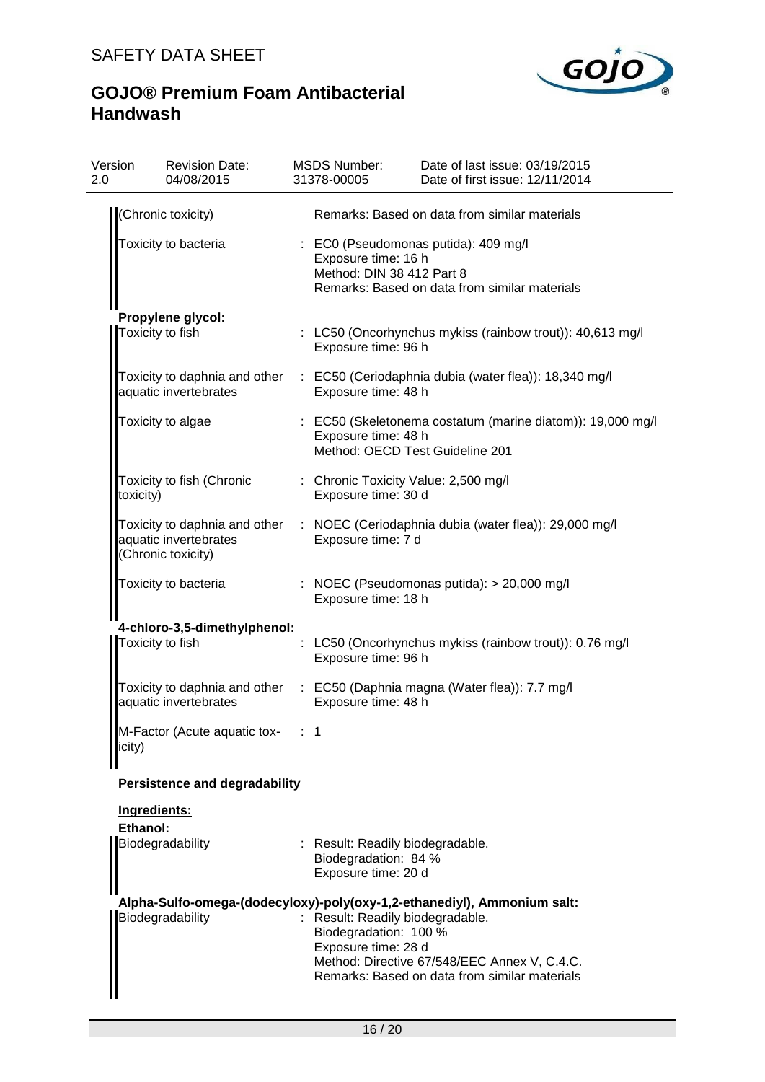# SAFETY DATA SHEET



| Version<br>2.0 | <b>Revision Date:</b><br>04/08/2015                                          | <b>MSDS Number:</b><br>31378-00005                                               | Date of last issue: 03/19/2015<br>Date of first issue: 12/11/2014                             |
|----------------|------------------------------------------------------------------------------|----------------------------------------------------------------------------------|-----------------------------------------------------------------------------------------------|
|                | (Chronic toxicity)                                                           |                                                                                  | Remarks: Based on data from similar materials                                                 |
|                | Toxicity to bacteria                                                         | Exposure time: 16 h<br>Method: DIN 38 412 Part 8                                 | : EC0 (Pseudomonas putida): 409 mg/l<br>Remarks: Based on data from similar materials         |
|                | Propylene glycol:                                                            |                                                                                  |                                                                                               |
|                | Toxicity to fish                                                             | Exposure time: 96 h                                                              | : LC50 (Oncorhynchus mykiss (rainbow trout)): 40,613 mg/l                                     |
|                | aquatic invertebrates                                                        | Exposure time: 48 h                                                              | Toxicity to daphnia and other : EC50 (Ceriodaphnia dubia (water flea)): 18,340 mg/l           |
|                | Toxicity to algae                                                            | Exposure time: 48 h                                                              | : EC50 (Skeletonema costatum (marine diatom)): 19,000 mg/l<br>Method: OECD Test Guideline 201 |
| toxicity)      | Toxicity to fish (Chronic                                                    | : Chronic Toxicity Value: 2,500 mg/l<br>Exposure time: 30 d                      |                                                                                               |
|                | Toxicity to daphnia and other<br>aquatic invertebrates<br>(Chronic toxicity) | Exposure time: 7 d                                                               | : NOEC (Ceriodaphnia dubia (water flea)): 29,000 mg/l                                         |
|                | Toxicity to bacteria                                                         | Exposure time: 18 h                                                              | : NOEC (Pseudomonas putida): $> 20,000$ mg/l                                                  |
|                | 4-chloro-3,5-dimethylphenol:<br>Toxicity to fish                             | Exposure time: 96 h                                                              | LC50 (Oncorhynchus mykiss (rainbow trout)): 0.76 mg/l                                         |
|                | aquatic invertebrates                                                        | Exposure time: 48 h                                                              | Toxicity to daphnia and other : EC50 (Daphnia magna (Water flea)): 7.7 mg/l                   |
| licity)        | M-Factor (Acute aquatic tox-                                                 | 1                                                                                |                                                                                               |
|                | <b>Persistence and degradability</b>                                         |                                                                                  |                                                                                               |
| Ethanol:       | Ingredients:                                                                 |                                                                                  |                                                                                               |
|                | Biodegradability                                                             | : Result: Readily biodegradable.<br>Biodegradation: 84 %<br>Exposure time: 20 d  |                                                                                               |
|                |                                                                              |                                                                                  | Alpha-Sulfo-omega-(dodecyloxy)-poly(oxy-1,2-ethanediyl), Ammonium salt:                       |
|                | Biodegradability                                                             | : Result: Readily biodegradable.<br>Biodegradation: 100 %<br>Exposure time: 28 d | Method: Directive 67/548/EEC Annex V, C.4.C.<br>Remarks: Based on data from similar materials |
|                |                                                                              |                                                                                  |                                                                                               |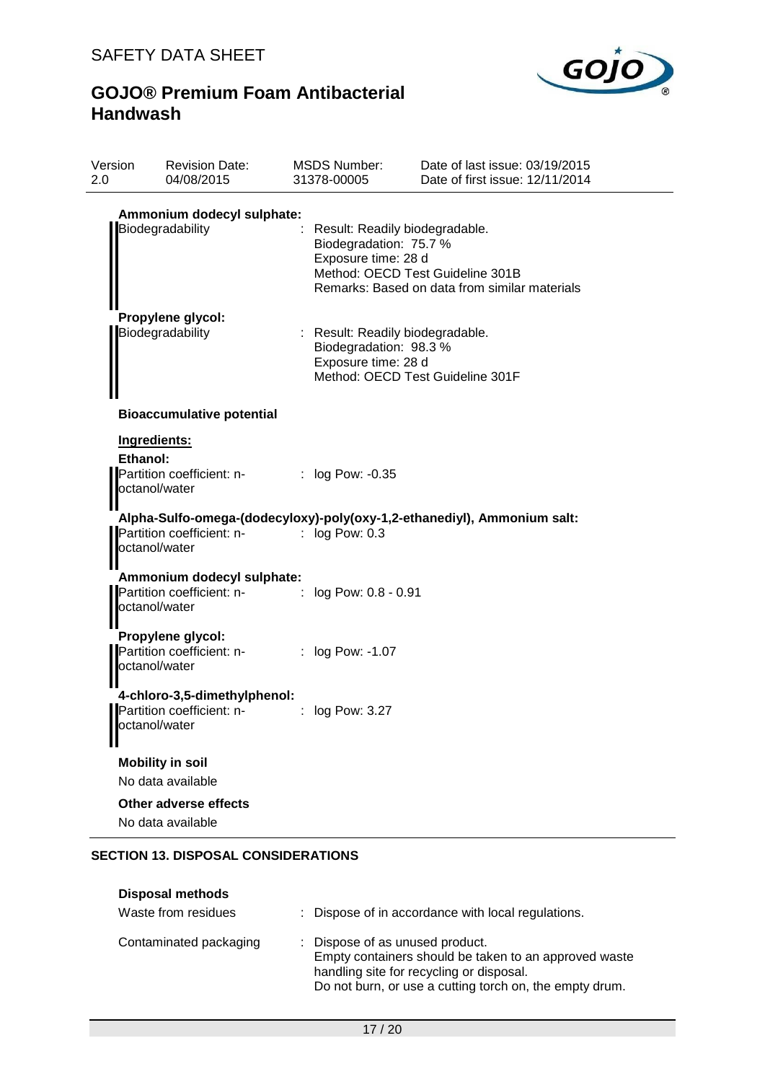

| Version<br>2.0  | <b>Revision Date:</b><br>04/08/2015                                                            | <b>MSDS Number:</b><br>31378-00005            | Date of last issue: 03/19/2015<br>Date of first issue: 12/11/2014                                                   |
|-----------------|------------------------------------------------------------------------------------------------|-----------------------------------------------|---------------------------------------------------------------------------------------------------------------------|
|                 | Ammonium dodecyl sulphate:<br>Biodegradability                                                 | Biodegradation: 75.7 %<br>Exposure time: 28 d | Result: Readily biodegradable.<br>Method: OECD Test Guideline 301B<br>Remarks: Based on data from similar materials |
|                 | Propylene glycol:<br>Biodegradability                                                          | Biodegradation: 98.3 %<br>Exposure time: 28 d | : Result: Readily biodegradable.<br>Method: OECD Test Guideline 301F                                                |
|                 | <b>Bioaccumulative potential</b>                                                               |                                               |                                                                                                                     |
| <b>Ethanol:</b> | Ingredients:<br>Partition coefficient: n- : log Pow: -0.35<br>octanol/water                    |                                               | Alpha-Sulfo-omega-(dodecyloxy)-poly(oxy-1,2-ethanediyl), Ammonium salt:                                             |
|                 | Partition coefficient: n-<br>octanol/water                                                     | $\log$ Pow: 0.3                               |                                                                                                                     |
|                 | Ammonium dodecyl sulphate:<br>Partition coefficient: n- : log Pow: 0.8 - 0.91<br>octanol/water |                                               |                                                                                                                     |
|                 | Propylene glycol:<br>Partition coefficient: n-<br>octanol/water                                | : $log Pow: -1.07$                            |                                                                                                                     |
| Ш               | 4-chloro-3,5-dimethylphenol:<br>Partition coefficient: n-<br>octanol/water                     | $\log$ Pow: 3.27                              |                                                                                                                     |
|                 | <b>Mobility in soil</b><br>No data available                                                   |                                               |                                                                                                                     |
|                 | Other adverse effects<br>No data available                                                     |                                               |                                                                                                                     |

### **SECTION 13. DISPOSAL CONSIDERATIONS**

| <b>Disposal methods</b><br>Waste from residues | : Dispose of in accordance with local regulations.                                                                                                                                              |
|------------------------------------------------|-------------------------------------------------------------------------------------------------------------------------------------------------------------------------------------------------|
| Contaminated packaging                         | : Dispose of as unused product.<br>Empty containers should be taken to an approved waste<br>handling site for recycling or disposal.<br>Do not burn, or use a cutting torch on, the empty drum. |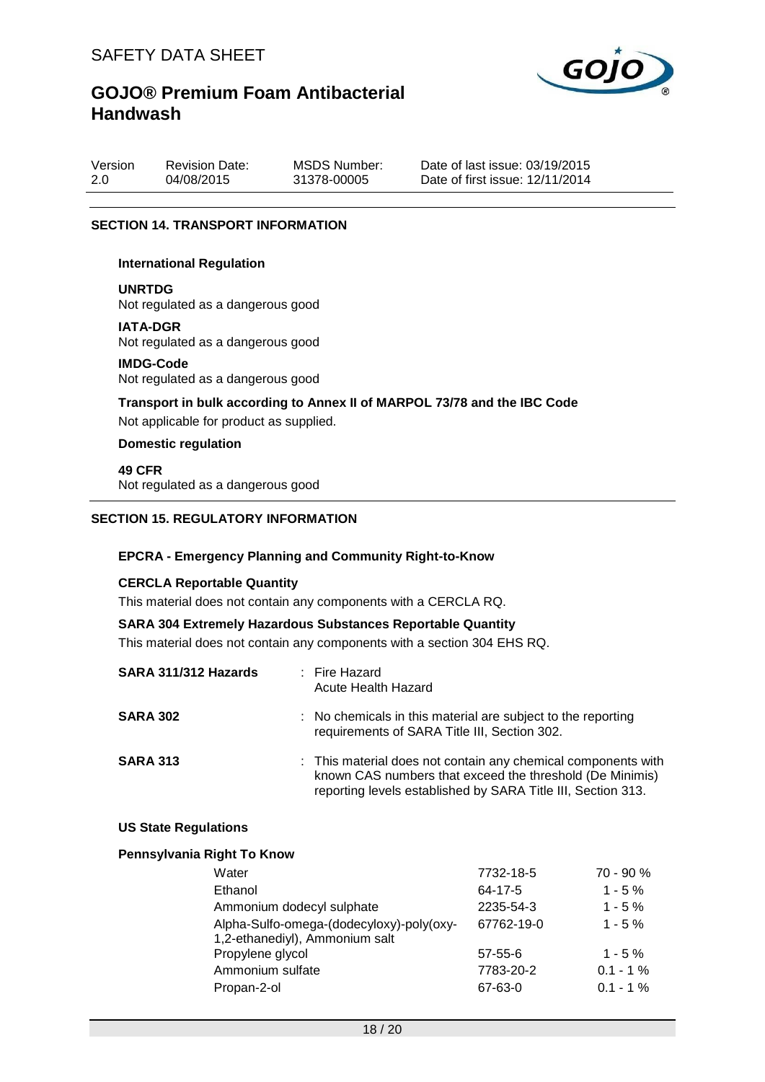

| Version | <b>Revision Date:</b> | MSDS Number: | Date of last issue: 03/19/2015  |
|---------|-----------------------|--------------|---------------------------------|
| 2.0     | 04/08/2015            | 31378-00005  | Date of first issue: 12/11/2014 |

### **SECTION 14. TRANSPORT INFORMATION**

#### **International Regulation**

**UNRTDG**

Not regulated as a dangerous good

#### **IATA-DGR**

Not regulated as a dangerous good

#### **IMDG-Code**

Not regulated as a dangerous good

**Transport in bulk according to Annex II of MARPOL 73/78 and the IBC Code**

Not applicable for product as supplied.

### **Domestic regulation**

**49 CFR** Not regulated as a dangerous good

#### **SECTION 15. REGULATORY INFORMATION**

#### **EPCRA - Emergency Planning and Community Right-to-Know**

#### **CERCLA Reportable Quantity**

This material does not contain any components with a CERCLA RQ.

#### **SARA 304 Extremely Hazardous Substances Reportable Quantity**

This material does not contain any components with a section 304 EHS RQ.

| SARA 311/312 Hazards | : Fire Hazard<br>Acute Health Hazard                                                                                                                                                      |
|----------------------|-------------------------------------------------------------------------------------------------------------------------------------------------------------------------------------------|
| <b>SARA 302</b>      | : No chemicals in this material are subject to the reporting<br>requirements of SARA Title III, Section 302.                                                                              |
| <b>SARA 313</b>      | : This material does not contain any chemical components with<br>known CAS numbers that exceed the threshold (De Minimis)<br>reporting levels established by SARA Title III, Section 313. |

#### **US State Regulations**

#### **Pennsylvania Right To Know**

| 7732-18-5  | $70 - 90 %$ |
|------------|-------------|
| 64-17-5    | $1 - 5%$    |
| 2235-54-3  | $1 - 5%$    |
| 67762-19-0 | $1 - 5\%$   |
|            |             |
| 57-55-6    | $1 - 5%$    |
| 7783-20-2  | $0.1 - 1\%$ |
| 67-63-0    | $0.1 - 1\%$ |
|            |             |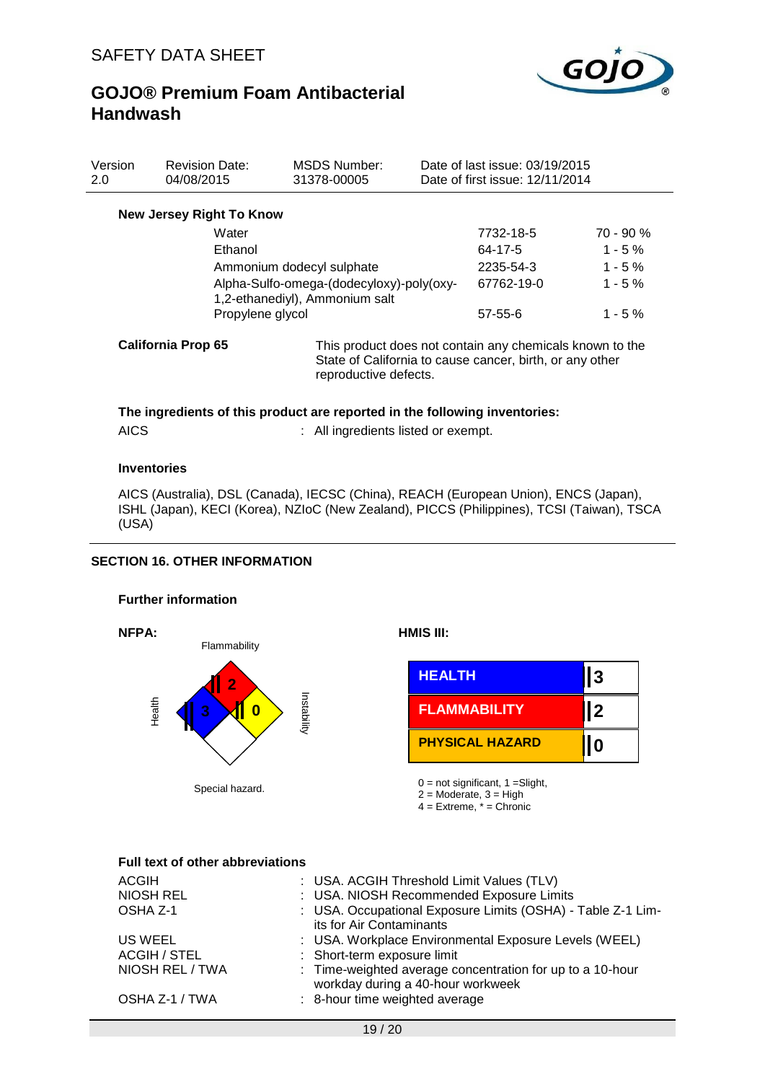

| Version<br>2.0 | <b>Revision Date:</b><br>04/08/2015 | <b>MSDS Number:</b><br>31378-00005                                         | Date of last issue: 03/19/2015<br>Date of first issue: 12/11/2014                                                    |             |
|----------------|-------------------------------------|----------------------------------------------------------------------------|----------------------------------------------------------------------------------------------------------------------|-------------|
|                | <b>New Jersey Right To Know</b>     |                                                                            |                                                                                                                      |             |
|                | Water                               |                                                                            | 7732-18-5                                                                                                            | $70 - 90 %$ |
|                | Ethanol                             |                                                                            | 64-17-5                                                                                                              | $1 - 5\%$   |
|                | Ammonium dodecyl sulphate           |                                                                            |                                                                                                                      | $1 - 5\%$   |
|                |                                     | Alpha-Sulfo-omega-(dodecyloxy)-poly(oxy-<br>1,2-ethanediyl), Ammonium salt | 67762-19-0                                                                                                           | $1 - 5%$    |
|                | Propylene glycol                    |                                                                            | $57 - 55 - 6$                                                                                                        | $1 - 5\%$   |
|                | <b>California Prop 65</b>           | reproductive defects.                                                      | This product does not contain any chemicals known to the<br>State of California to cause cancer, birth, or any other |             |

### **The ingredients of this product are reported in the following inventories:**

| <b>AICS</b> |  |  |
|-------------|--|--|

: All ingredients listed or exempt.

#### **Inventories**

AICS (Australia), DSL (Canada), IECSC (China), REACH (European Union), ENCS (Japan), ISHL (Japan), KECI (Korea), NZIoC (New Zealand), PICCS (Philippines), TCSI (Taiwan), TSCA (USA)

### **SECTION 16. OTHER INFORMATION**

### **Further information**



**NFPA: HMIS III:**

|                     | <b>HEALTH</b>          | Ι3 |
|---------------------|------------------------|----|
| Ū,<br>0<br>tability | <b>FLAMMABILITY</b>    | ິ  |
|                     | <b>PHYSICAL HAZARD</b> |    |

Special hazard.  $0 = \text{not significant, } 1 = \text{Slight,}$ <br> $2 = \text{Modern, } 2 = \text{Hish}$  $2 = \text{Modern}$ ,  $3 = \text{High}$ 

 $4 =$  Extreme,  $* =$  Chronic

#### **Full text of other abbreviations**

| <b>ACGIH</b>    | : USA. ACGIH Threshold Limit Values (TLV)                                                      |
|-----------------|------------------------------------------------------------------------------------------------|
| NIOSH REL       | : USA. NIOSH Recommended Exposure Limits                                                       |
| OSHA Z-1        | : USA. Occupational Exposure Limits (OSHA) - Table Z-1 Lim-<br>its for Air Contaminants        |
| US WEEL         | : USA. Workplace Environmental Exposure Levels (WEEL)                                          |
| ACGIH / STEL    | : Short-term exposure limit                                                                    |
| NIOSH REL / TWA | : Time-weighted average concentration for up to a 10-hour<br>workday during a 40-hour workweek |
| OSHA Z-1 / TWA  | : 8-hour time weighted average                                                                 |